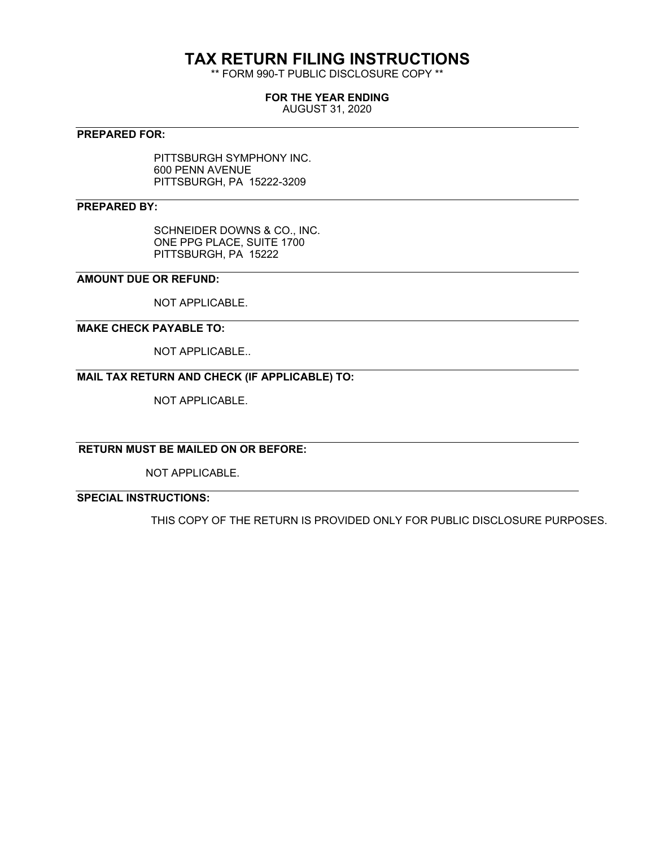# **TAX RETURN FILING INSTRUCTIONS**

\*\* FORM 990-T PUBLIC DISCLOSURE COPY \*\*

### **FOR THE YEAR ENDING**

AUGUST 31, 2020

### **PREPARED FOR:**

PITTSBURGH SYMPHONY INC. 600 PENN AVENUE PITTSBURGH, PA 15222-3209

### **PREPARED BY:**

SCHNEIDER DOWNS & CO., INC. ONE PPG PLACE, SUITE 1700 PITTSBURGH, PA 15222

### **AMOUNT DUE OR REFUND:**

NOT APPLICABLE.

### **MAKE CHECK PAYABLE TO:**

NOT APPLICABLE..

### **MAIL TAX RETURN AND CHECK (IF APPLICABLE) TO:**

NOT APPLICABLE.

## **RETURN MUST BE MAILED ON OR BEFORE:**

NOT APPLICABLE.

## **SPECIAL INSTRUCTIONS:**

THIS COPY OF THE RETURN IS PROVIDED ONLY FOR PUBLIC DISCLOSURE PURPOSES.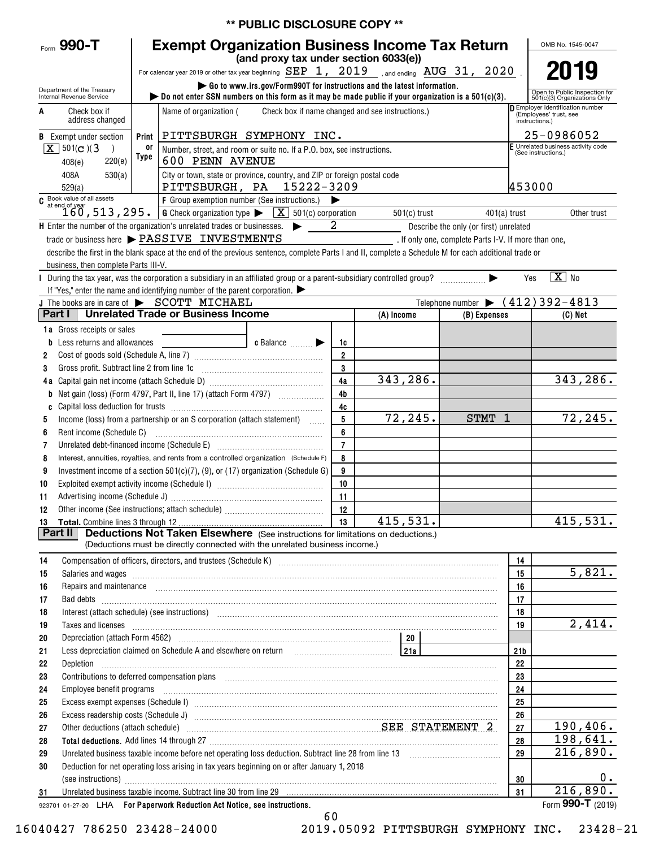|                                                      |                                                                                                                                                                                                                         |                                                                                                                                                                                                                                                                                                                                                    | ** PUBLIC DISCLOSURE COPY **                                                                                                             |                 |                |                                                      |                 |                                                       |  |  |  |  |
|------------------------------------------------------|-------------------------------------------------------------------------------------------------------------------------------------------------------------------------------------------------------------------------|----------------------------------------------------------------------------------------------------------------------------------------------------------------------------------------------------------------------------------------------------------------------------------------------------------------------------------------------------|------------------------------------------------------------------------------------------------------------------------------------------|-----------------|----------------|------------------------------------------------------|-----------------|-------------------------------------------------------|--|--|--|--|
| Form 990-T                                           |                                                                                                                                                                                                                         | <b>Exempt Organization Business Income Tax Return</b>                                                                                                                                                                                                                                                                                              |                                                                                                                                          |                 |                |                                                      |                 | OMB No. 1545-0047                                     |  |  |  |  |
|                                                      |                                                                                                                                                                                                                         |                                                                                                                                                                                                                                                                                                                                                    | (and proxy tax under section 6033(e))                                                                                                    |                 |                |                                                      |                 |                                                       |  |  |  |  |
|                                                      |                                                                                                                                                                                                                         | For calendar year 2019 or other tax year beginning SEP 1, 2019 sand ending AUG 31, 2020                                                                                                                                                                                                                                                            |                                                                                                                                          |                 |                |                                                      |                 | 2019                                                  |  |  |  |  |
| Department of the Treasury                           |                                                                                                                                                                                                                         |                                                                                                                                                                                                                                                                                                                                                    | Go to www.irs.gov/Form990T for instructions and the latest information.                                                                  |                 |                |                                                      |                 | Open to Public Inspection for                         |  |  |  |  |
| Internal Revenue Service                             |                                                                                                                                                                                                                         | bo not enter SSN numbers on this form as it may be made public if your organization is a $501(c)(3)$ .                                                                                                                                                                                                                                             |                                                                                                                                          |                 |                |                                                      |                 | 501(c)(3) Organizations Only                          |  |  |  |  |
| Α<br>Check box if<br>address changed                 |                                                                                                                                                                                                                         | Employer identification number<br>Name of organization (<br>Check box if name changed and see instructions.)<br>(Employees' trust, see<br>instructions.)                                                                                                                                                                                           |                                                                                                                                          |                 |                |                                                      |                 |                                                       |  |  |  |  |
|                                                      |                                                                                                                                                                                                                         |                                                                                                                                                                                                                                                                                                                                                    |                                                                                                                                          |                 |                |                                                      |                 | 25-0986052                                            |  |  |  |  |
| <b>B</b> Exempt under section<br>$X \mid 501(c)$ (3) | Print<br>0ľ                                                                                                                                                                                                             |                                                                                                                                                                                                                                                                                                                                                    | PITTSBURGH SYMPHONY INC.<br>F Unrelated business activity code<br>Number, street, and room or suite no. If a P.O. box, see instructions. |                 |                |                                                      |                 |                                                       |  |  |  |  |
| 220(e)<br>408(e)                                     | Type                                                                                                                                                                                                                    | 600 PENN AVENUE                                                                                                                                                                                                                                                                                                                                    |                                                                                                                                          |                 |                |                                                      |                 | (See instructions.)                                   |  |  |  |  |
| 408A<br>530(a)                                       |                                                                                                                                                                                                                         | City or town, state or province, country, and ZIP or foreign postal code                                                                                                                                                                                                                                                                           |                                                                                                                                          |                 |                |                                                      |                 |                                                       |  |  |  |  |
| 529(a)                                               |                                                                                                                                                                                                                         | PITTSBURGH, PA 15222-3209                                                                                                                                                                                                                                                                                                                          |                                                                                                                                          |                 |                |                                                      | 453000          |                                                       |  |  |  |  |
|                                                      | $\begin{array}{l l l}\hline \texttt{G} & \texttt{Book value of all assets} \\\hline \texttt{at end of year} & 160,513,295. & \texttt{G Check organization type} & \texttt{X} & 501(c) corporation \\\hline \end{array}$ |                                                                                                                                                                                                                                                                                                                                                    |                                                                                                                                          |                 |                |                                                      |                 |                                                       |  |  |  |  |
|                                                      |                                                                                                                                                                                                                         |                                                                                                                                                                                                                                                                                                                                                    |                                                                                                                                          |                 | $501(c)$ trust |                                                      | $401(a)$ trust  | Other trust                                           |  |  |  |  |
|                                                      |                                                                                                                                                                                                                         | H Enter the number of the organization's unrelated trades or businesses.                                                                                                                                                                                                                                                                           |                                                                                                                                          | 2               |                | Describe the only (or first) unrelated               |                 |                                                       |  |  |  |  |
|                                                      |                                                                                                                                                                                                                         | trade or business here > PASSIVE INVESTMENTS                                                                                                                                                                                                                                                                                                       |                                                                                                                                          |                 |                | . If only one, complete Parts I-V. If more than one, |                 |                                                       |  |  |  |  |
|                                                      |                                                                                                                                                                                                                         | describe the first in the blank space at the end of the previous sentence, complete Parts I and II, complete a Schedule M for each additional trade or                                                                                                                                                                                             |                                                                                                                                          |                 |                |                                                      |                 |                                                       |  |  |  |  |
| business, then complete Parts III-V.                 |                                                                                                                                                                                                                         | I During the tax year, was the corporation a subsidiary in an affiliated group or a parent-subsidiary controlled group?                                                                                                                                                                                                                            |                                                                                                                                          |                 |                |                                                      |                 | $\boxed{\text{X}}$ No                                 |  |  |  |  |
|                                                      |                                                                                                                                                                                                                         | If "Yes," enter the name and identifying number of the parent corporation.                                                                                                                                                                                                                                                                         |                                                                                                                                          |                 |                |                                                      | Yes             |                                                       |  |  |  |  |
|                                                      |                                                                                                                                                                                                                         | J The books are in care of SCOTT MICHAEL                                                                                                                                                                                                                                                                                                           |                                                                                                                                          |                 |                |                                                      |                 | Telephone number $\blacktriangleright$ (412) 392-4813 |  |  |  |  |
| Part I                                               |                                                                                                                                                                                                                         | <b>Unrelated Trade or Business Income</b>                                                                                                                                                                                                                                                                                                          |                                                                                                                                          |                 | (A) Income     | (B) Expenses                                         |                 | (C) Net                                               |  |  |  |  |
| <b>1a</b> Gross receipts or sales                    |                                                                                                                                                                                                                         |                                                                                                                                                                                                                                                                                                                                                    |                                                                                                                                          |                 |                |                                                      |                 |                                                       |  |  |  |  |
| Less returns and allowances                          |                                                                                                                                                                                                                         | <u> 1980 - Johann Barbara, martxa al</u>                                                                                                                                                                                                                                                                                                           | c Balance <b>Division</b>                                                                                                                | 1c              |                |                                                      |                 |                                                       |  |  |  |  |
| 2                                                    |                                                                                                                                                                                                                         |                                                                                                                                                                                                                                                                                                                                                    |                                                                                                                                          | $\overline{2}$  |                |                                                      |                 |                                                       |  |  |  |  |
| Gross profit. Subtract line 2 from line 1c<br>3      |                                                                                                                                                                                                                         |                                                                                                                                                                                                                                                                                                                                                    |                                                                                                                                          | 3               |                |                                                      |                 |                                                       |  |  |  |  |
| 4a                                                   |                                                                                                                                                                                                                         |                                                                                                                                                                                                                                                                                                                                                    |                                                                                                                                          | 4a              | 343,286.       |                                                      |                 | 343, 286.                                             |  |  |  |  |
| b                                                    |                                                                                                                                                                                                                         | Net gain (loss) (Form 4797, Part II, line 17) (attach Form 4797)                                                                                                                                                                                                                                                                                   |                                                                                                                                          | 4 <sub>b</sub>  |                |                                                      |                 |                                                       |  |  |  |  |
| C                                                    |                                                                                                                                                                                                                         |                                                                                                                                                                                                                                                                                                                                                    |                                                                                                                                          | 4c<br>5         | 72, 245.       | STMT 1                                               |                 | 72,245.                                               |  |  |  |  |
| 5<br>Rent income (Schedule C)<br>6                   |                                                                                                                                                                                                                         | Income (loss) from a partnership or an S corporation (attach statement)                                                                                                                                                                                                                                                                            |                                                                                                                                          | 6               |                |                                                      |                 |                                                       |  |  |  |  |
| 7                                                    |                                                                                                                                                                                                                         |                                                                                                                                                                                                                                                                                                                                                    |                                                                                                                                          | $\overline{7}$  |                |                                                      |                 |                                                       |  |  |  |  |
| 8                                                    |                                                                                                                                                                                                                         | Interest, annuities, royalties, and rents from a controlled organization (Schedule F)                                                                                                                                                                                                                                                              |                                                                                                                                          | 8               |                |                                                      |                 |                                                       |  |  |  |  |
| 9                                                    |                                                                                                                                                                                                                         | Investment income of a section $501(c)(7)$ , (9), or (17) organization (Schedule G)                                                                                                                                                                                                                                                                |                                                                                                                                          | 9               |                |                                                      |                 |                                                       |  |  |  |  |
| 10                                                   |                                                                                                                                                                                                                         |                                                                                                                                                                                                                                                                                                                                                    |                                                                                                                                          | 10              |                |                                                      |                 |                                                       |  |  |  |  |
| Advertising income (Schedule J)<br>11                |                                                                                                                                                                                                                         |                                                                                                                                                                                                                                                                                                                                                    |                                                                                                                                          | 11              |                |                                                      |                 |                                                       |  |  |  |  |
| 12                                                   |                                                                                                                                                                                                                         |                                                                                                                                                                                                                                                                                                                                                    |                                                                                                                                          | 12              |                |                                                      |                 |                                                       |  |  |  |  |
| Total. Combine lines 3 through 12.<br>13             |                                                                                                                                                                                                                         |                                                                                                                                                                                                                                                                                                                                                    |                                                                                                                                          | $\overline{13}$ | 415,531.       |                                                      |                 | 415,531.                                              |  |  |  |  |
| Part II                                              |                                                                                                                                                                                                                         | <b>Deductions Not Taken Elsewhere</b> (See instructions for limitations on deductions.)<br>(Deductions must be directly connected with the unrelated business income.)                                                                                                                                                                             |                                                                                                                                          |                 |                |                                                      |                 |                                                       |  |  |  |  |
|                                                      |                                                                                                                                                                                                                         |                                                                                                                                                                                                                                                                                                                                                    |                                                                                                                                          |                 |                |                                                      |                 |                                                       |  |  |  |  |
| 14<br>15                                             |                                                                                                                                                                                                                         | Compensation of officers, directors, and trustees (Schedule K) [11] [2010] Compensation of officers, directors, and trustees (Schedule K) [11] [2011] [2011] [2012] [2012] [2012] [2012] [2012] [2012] [2012] [2012] [2012] [2                                                                                                                     |                                                                                                                                          |                 |                |                                                      | 14<br>15        | 5,821.                                                |  |  |  |  |
| 16                                                   |                                                                                                                                                                                                                         | Salaries and wages <b>construction and construction of the construction</b> and wages <b>construction</b> and wages <b>construction</b><br>Repairs and maintenance <i>[1] [1] [1] [1] [1] [1] [1] [1] [1] [1]</i> [1] <b>[1]</b> [1] <b>[1]</b> [1] <b>[1] [1] [1] [1] [1] [1] [1] [1] [1] [1] [1] [1] [1] [1] [1] [1] [1] [1] [1] [1] [1] [1]</b> |                                                                                                                                          |                 |                |                                                      | 16              |                                                       |  |  |  |  |
| 17                                                   |                                                                                                                                                                                                                         | Bad debts <b>with a construction of the construction</b> of the construction of the construction of the construction of the construction of the construction of the construction of the construction of the construction of the con                                                                                                                |                                                                                                                                          |                 |                |                                                      | 17              |                                                       |  |  |  |  |
| 18                                                   |                                                                                                                                                                                                                         | Interest (attach schedule) (see instructions) www.communications.communications are interest (attach schedule)                                                                                                                                                                                                                                     |                                                                                                                                          |                 |                |                                                      | 18              |                                                       |  |  |  |  |
| 19                                                   |                                                                                                                                                                                                                         | Taxes and licenses <b>with a construction of the construction of the construction of the construction</b>                                                                                                                                                                                                                                          |                                                                                                                                          |                 |                |                                                      | 19              | 2,414.                                                |  |  |  |  |
| 20                                                   |                                                                                                                                                                                                                         |                                                                                                                                                                                                                                                                                                                                                    |                                                                                                                                          |                 |                |                                                      |                 |                                                       |  |  |  |  |
| 21                                                   |                                                                                                                                                                                                                         | Less depreciation claimed on Schedule A and elsewhere on return [11] [214]                                                                                                                                                                                                                                                                         |                                                                                                                                          |                 |                |                                                      | 21 <sub>b</sub> |                                                       |  |  |  |  |
| 22<br>Depletion                                      |                                                                                                                                                                                                                         |                                                                                                                                                                                                                                                                                                                                                    |                                                                                                                                          |                 |                |                                                      | 22              |                                                       |  |  |  |  |
| 23                                                   |                                                                                                                                                                                                                         | Contributions to deferred compensation plans [11] manufactured contributions to deferred compensation plans [11] manufactured compensation plans [11] manufactured compensation plans [11] manufactured compensation plans in                                                                                                                      |                                                                                                                                          |                 |                |                                                      | 23              |                                                       |  |  |  |  |
| 24<br>Employee benefit programs                      |                                                                                                                                                                                                                         |                                                                                                                                                                                                                                                                                                                                                    |                                                                                                                                          |                 |                |                                                      | 24              |                                                       |  |  |  |  |
| 25<br>26                                             |                                                                                                                                                                                                                         |                                                                                                                                                                                                                                                                                                                                                    |                                                                                                                                          |                 |                |                                                      | 25<br>26        |                                                       |  |  |  |  |
| 27                                                   |                                                                                                                                                                                                                         | Other deductions (attach schedule) Material Material Material SEE STATEMENT 2                                                                                                                                                                                                                                                                      |                                                                                                                                          |                 |                |                                                      | 27              | 190,406.                                              |  |  |  |  |
| 28                                                   |                                                                                                                                                                                                                         |                                                                                                                                                                                                                                                                                                                                                    |                                                                                                                                          |                 |                |                                                      | 28              | 198,641.                                              |  |  |  |  |
| 29                                                   |                                                                                                                                                                                                                         |                                                                                                                                                                                                                                                                                                                                                    |                                                                                                                                          |                 |                |                                                      | 29              | 216,890.                                              |  |  |  |  |
| 30                                                   |                                                                                                                                                                                                                         | Deduction for net operating loss arising in tax years beginning on or after January 1, 2018                                                                                                                                                                                                                                                        |                                                                                                                                          |                 |                |                                                      |                 |                                                       |  |  |  |  |
|                                                      |                                                                                                                                                                                                                         | (see instructions) with an account of the contract of the contract of the contract of the contract of the contract of the contract of the contract of the contract of the contract of the contract of the contract of the cont                                                                                                                     |                                                                                                                                          |                 |                |                                                      | 30              | 0.                                                    |  |  |  |  |
| 31                                                   |                                                                                                                                                                                                                         |                                                                                                                                                                                                                                                                                                                                                    |                                                                                                                                          |                 |                |                                                      | 31              | 216,890.                                              |  |  |  |  |
|                                                      |                                                                                                                                                                                                                         | 923701 01-27-20 LHA For Paperwork Reduction Act Notice, see instructions.                                                                                                                                                                                                                                                                          |                                                                                                                                          |                 |                |                                                      |                 | Form 990-T (2019)                                     |  |  |  |  |

60

16040427 786250 23428-24000 2019.05092 PITTSBURGH SYMPHONY INC. 23428-21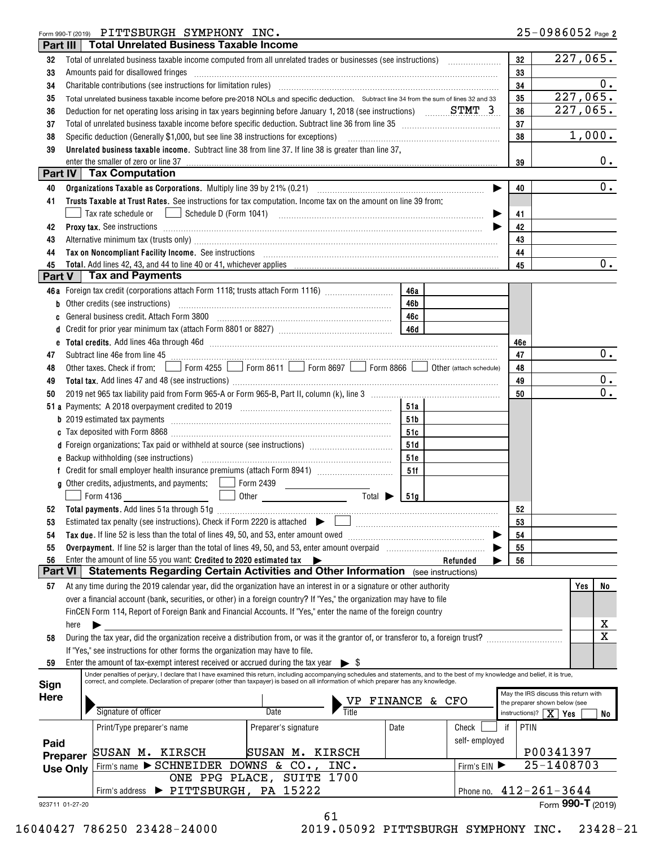### Form 990-T (2019)  $\rm{PITTSBURGH}$   $\rm{SYMPHONY}$   $\rm{INC.}$

| Part III        |                                                                                       | <b>Total Unrelated Business Taxable Income</b>                                                                                                                                                                                 |                                                                   |           |                       |            |                                                                       |  |  |
|-----------------|---------------------------------------------------------------------------------------|--------------------------------------------------------------------------------------------------------------------------------------------------------------------------------------------------------------------------------|-------------------------------------------------------------------|-----------|-----------------------|------------|-----------------------------------------------------------------------|--|--|
| 32              |                                                                                       |                                                                                                                                                                                                                                |                                                                   |           |                       | 32         | 227,065.                                                              |  |  |
| 33              |                                                                                       | Amounts paid for disallowed fringes encontractional contraction of the contraction of the contraction of the contraction of the contraction of the contraction of the contraction of the contraction of the contraction of the |                                                                   |           |                       | 33         |                                                                       |  |  |
| 34              |                                                                                       |                                                                                                                                                                                                                                |                                                                   |           |                       | 34         | 0.                                                                    |  |  |
| 35              |                                                                                       | Total unrelated business taxable income before pre-2018 NOLs and specific deduction. Subtract line 34 from the sum of lines 32 and 33                                                                                          |                                                                   |           |                       | 35         | 227,065.                                                              |  |  |
| 36              |                                                                                       | Deduction for net operating loss arising in tax years beginning before January 1, 2018 (see instructions) $\ldots$ STMT 3                                                                                                      |                                                                   |           |                       | 36         | 227,065.                                                              |  |  |
| 37              |                                                                                       | Total of unrelated business taxable income before specific deduction. Subtract line 36 from line 35 [11] [11] Total of uncontrolleration of the state of the state of the state of the state of the state of the state of the  |                                                                   |           |                       | 37         |                                                                       |  |  |
|                 |                                                                                       |                                                                                                                                                                                                                                |                                                                   |           |                       | 38         | 1,000.                                                                |  |  |
| 38              |                                                                                       | Specific deduction (Generally \$1,000, but see line 38 instructions for exceptions)                                                                                                                                            |                                                                   |           |                       |            |                                                                       |  |  |
| 39              |                                                                                       | Unrelated business taxable income. Subtract line 38 from line 37. If line 38 is greater than line 37.                                                                                                                          |                                                                   |           |                       |            | $0$ .                                                                 |  |  |
|                 |                                                                                       | enter the smaller of zero or line 37<br><b>Part IV   Tax Computation</b>                                                                                                                                                       |                                                                   |           |                       | 39         |                                                                       |  |  |
|                 |                                                                                       |                                                                                                                                                                                                                                |                                                                   |           |                       |            | 0.                                                                    |  |  |
| 40              |                                                                                       |                                                                                                                                                                                                                                |                                                                   |           | $\blacktriangleright$ | 40         |                                                                       |  |  |
| 41              |                                                                                       | Trusts Taxable at Trust Rates. See instructions for tax computation. Income tax on the amount on line 39 from:                                                                                                                 |                                                                   |           |                       |            |                                                                       |  |  |
|                 |                                                                                       | Tax rate schedule or                                                                                                                                                                                                           |                                                                   |           | ▶                     | 41         |                                                                       |  |  |
| 42              |                                                                                       | Proxy tax. See instructions information and contact the contract of the contract of the contract of the contract of the contract of the contract of the contract of the contract of the contract of the contract of the contra |                                                                   |           |                       | 42         |                                                                       |  |  |
| 43              |                                                                                       | Alternative minimum tax (trusts only) manufactured and all the manufactured and all the minimum tax (trusts only)                                                                                                              |                                                                   |           |                       | 43         |                                                                       |  |  |
| 44              |                                                                                       | Tax on Noncompliant Facility Income. See instructions [11] All and the content of the set of Noncompliant Facility Income. See instructions [11] All and the set of Management of the Second Management of the Second Manageme |                                                                   |           |                       | 44         |                                                                       |  |  |
| 45              |                                                                                       | Total. Add lines 42, 43, and 44 to line 40 or 41, whichever applies                                                                                                                                                            |                                                                   |           |                       | 45         | $\overline{0}$ .                                                      |  |  |
| Part V          |                                                                                       | <b>Tax and Payments</b>                                                                                                                                                                                                        |                                                                   |           |                       |            |                                                                       |  |  |
|                 |                                                                                       | 46a Foreign tax credit (corporations attach Form 1118; trusts attach Form 1116)                                                                                                                                                |                                                                   | 46a       |                       |            |                                                                       |  |  |
| b               |                                                                                       | Other credits (see instructions)                                                                                                                                                                                               |                                                                   | 46b       |                       |            |                                                                       |  |  |
| C               |                                                                                       | General business credit. Attach Form 3800                                                                                                                                                                                      |                                                                   | 46c       |                       |            |                                                                       |  |  |
| d               |                                                                                       |                                                                                                                                                                                                                                |                                                                   |           |                       |            |                                                                       |  |  |
|                 |                                                                                       |                                                                                                                                                                                                                                |                                                                   |           |                       | 46e        |                                                                       |  |  |
| 47              |                                                                                       | Subtract line 46e from line 45 <b>manual contract of the 45</b> manual contract line 46e from line 45                                                                                                                          |                                                                   |           |                       | 47         | 0.                                                                    |  |  |
| 48              |                                                                                       | Other taxes. Check if from: Form 4255 Form 8611 Form 8697 Form 8866 OD Other (attach schedule)                                                                                                                                 |                                                                   |           |                       | 48         |                                                                       |  |  |
| 49              |                                                                                       |                                                                                                                                                                                                                                |                                                                   |           |                       | 49         | $0$ .                                                                 |  |  |
| 50              |                                                                                       |                                                                                                                                                                                                                                |                                                                   |           |                       | 50         | $\overline{0}$ .                                                      |  |  |
|                 |                                                                                       |                                                                                                                                                                                                                                |                                                                   | 51a       |                       |            |                                                                       |  |  |
|                 |                                                                                       |                                                                                                                                                                                                                                |                                                                   |           |                       |            |                                                                       |  |  |
|                 |                                                                                       |                                                                                                                                                                                                                                |                                                                   | 51 b      |                       |            |                                                                       |  |  |
|                 |                                                                                       |                                                                                                                                                                                                                                |                                                                   | 51c       |                       |            |                                                                       |  |  |
|                 |                                                                                       | d Foreign organizations: Tax paid or withheld at source (see instructions) [1000100000000000000000000000000000                                                                                                                 |                                                                   | 51d       |                       |            |                                                                       |  |  |
|                 |                                                                                       |                                                                                                                                                                                                                                |                                                                   | 51e       |                       |            |                                                                       |  |  |
|                 |                                                                                       |                                                                                                                                                                                                                                |                                                                   | 51f       |                       |            |                                                                       |  |  |
|                 |                                                                                       | <b>g</b> Other credits, adjustments, and payments: Form 2439                                                                                                                                                                   | <u> The Communication</u>                                         |           |                       |            |                                                                       |  |  |
|                 |                                                                                       | Form 4136                                                                                                                                                                                                                      | Total $\blacktriangleright$<br><u>other _____________________</u> | 51g       |                       |            |                                                                       |  |  |
| 52              |                                                                                       |                                                                                                                                                                                                                                |                                                                   |           |                       | 52         |                                                                       |  |  |
| 53              |                                                                                       | Estimated tax penalty (see instructions). Check if Form 2220 is attached $\begin{array}{ c c }\n\hline\n\end{array}$                                                                                                           |                                                                   |           |                       | 53         |                                                                       |  |  |
| 54              |                                                                                       | Tax due. If line 52 is less than the total of lines 49, 50, and 53, enter amount owed                                                                                                                                          |                                                                   |           |                       | 54         |                                                                       |  |  |
| 55              |                                                                                       |                                                                                                                                                                                                                                |                                                                   |           |                       | 55         |                                                                       |  |  |
| 56              |                                                                                       | Enter the amount of line 55 you want: Credited to 2020 estimated tax                                                                                                                                                           |                                                                   |           | Refunded              | 56         |                                                                       |  |  |
| <b>Part VI</b>  |                                                                                       | Statements Regarding Certain Activities and Other Information (see instructions)                                                                                                                                               |                                                                   |           |                       |            |                                                                       |  |  |
| 57              |                                                                                       | At any time during the 2019 calendar year, did the organization have an interest in or a signature or other authority                                                                                                          |                                                                   |           |                       |            | No<br>Yes                                                             |  |  |
|                 |                                                                                       | over a financial account (bank, securities, or other) in a foreign country? If "Yes," the organization may have to file                                                                                                        |                                                                   |           |                       |            |                                                                       |  |  |
|                 |                                                                                       | FinCEN Form 114, Report of Foreign Bank and Financial Accounts. If "Yes," enter the name of the foreign country                                                                                                                |                                                                   |           |                       |            |                                                                       |  |  |
|                 | here                                                                                  |                                                                                                                                                                                                                                |                                                                   |           |                       |            | х                                                                     |  |  |
| 58              |                                                                                       | During the tax year, did the organization receive a distribution from, or was it the grantor of, or transferor to, a foreign trust?                                                                                            |                                                                   |           |                       |            | $\overline{\texttt{x}}$                                               |  |  |
|                 |                                                                                       | If "Yes," see instructions for other forms the organization may have to file.                                                                                                                                                  |                                                                   |           |                       |            |                                                                       |  |  |
| 59              |                                                                                       | Enter the amount of tax-exempt interest received or accrued during the tax year $\triangleright$ \$                                                                                                                            |                                                                   |           |                       |            |                                                                       |  |  |
|                 |                                                                                       | Under penalties of perjury, I declare that I have examined this return, including accompanying schedules and statements, and to the best of my knowledge and belief, it is true,                                               |                                                                   |           |                       |            |                                                                       |  |  |
| Sign            |                                                                                       | correct, and complete. Declaration of preparer (other than taxpayer) is based on all information of which preparer has any knowledge.                                                                                          |                                                                   |           |                       |            |                                                                       |  |  |
| <b>Here</b>     |                                                                                       |                                                                                                                                                                                                                                |                                                                   | FINANCE & | CFO                   |            | May the IRS discuss this return with<br>the preparer shown below (see |  |  |
|                 |                                                                                       | Signature of officer                                                                                                                                                                                                           | Date                                                              |           |                       |            | instructions)? $\mid \mathbf{X} \mid$<br><b>Yes</b><br>No             |  |  |
|                 |                                                                                       |                                                                                                                                                                                                                                |                                                                   |           | Check                 | PTIN<br>if |                                                                       |  |  |
|                 |                                                                                       | Print/Type preparer's name                                                                                                                                                                                                     | Preparer's signature                                              | Date      |                       |            |                                                                       |  |  |
| Paid            |                                                                                       | SUSAN M. KIRSCH                                                                                                                                                                                                                | SUSAN M. KIRSCH                                                   |           | self-employed         |            | P00341397                                                             |  |  |
|                 | Preparer<br>25-1408703<br>Firm's name $\triangleright$ SCHNEIDER DOWNS & CO.,<br>INC. |                                                                                                                                                                                                                                |                                                                   |           |                       |            |                                                                       |  |  |
|                 | Firm's $EIN$<br><b>Use Only</b>                                                       |                                                                                                                                                                                                                                |                                                                   |           |                       |            |                                                                       |  |  |
|                 | ONE PPG PLACE, SUITE 1700<br>PITTSBURGH, PA 15222                                     |                                                                                                                                                                                                                                |                                                                   |           |                       |            |                                                                       |  |  |
|                 |                                                                                       | Firm's address                                                                                                                                                                                                                 |                                                                   |           | Phone no.             |            | $412 - 261 - 3644$                                                    |  |  |
| 923711 01-27-20 |                                                                                       |                                                                                                                                                                                                                                | 61                                                                |           |                       |            | Form 990-T (2019)                                                     |  |  |
|                 |                                                                                       |                                                                                                                                                                                                                                |                                                                   |           |                       |            |                                                                       |  |  |

16040427 786250 23428-24000 2019.05092 PITTSBURGH SYMPHONY INC. 23428-21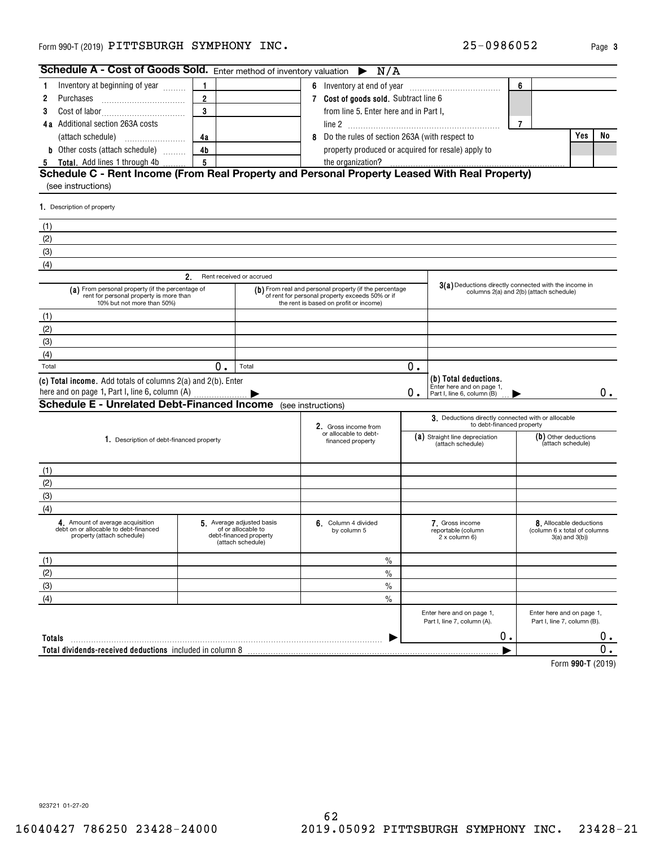Inventory at beginning of year  $\,\ldots\ldots$ 

**1**

**Schedule A - Cost of Goods Sold.** Enter method of inventory valuation  $\triangleright$ 

**1**

| 2                                                                                                                         | Purchases                                                                                                      | $\overline{2}$ |                                                                                               | 7 Cost of goods sold. Subtract line 6 |                                                                                                                                                     |    |                                                                                  |                |                                                                                |     |    |
|---------------------------------------------------------------------------------------------------------------------------|----------------------------------------------------------------------------------------------------------------|----------------|-----------------------------------------------------------------------------------------------|---------------------------------------|-----------------------------------------------------------------------------------------------------------------------------------------------------|----|----------------------------------------------------------------------------------|----------------|--------------------------------------------------------------------------------|-----|----|
| 3                                                                                                                         |                                                                                                                | $\overline{3}$ |                                                                                               |                                       | from line 5. Enter here and in Part I,                                                                                                              |    |                                                                                  |                |                                                                                |     |    |
|                                                                                                                           | 4a Additional section 263A costs                                                                               |                |                                                                                               |                                       |                                                                                                                                                     |    |                                                                                  | $\overline{7}$ |                                                                                |     |    |
|                                                                                                                           | (attach schedule)                                                                                              | 4a             |                                                                                               | 8                                     | Do the rules of section 263A (with respect to                                                                                                       |    |                                                                                  |                |                                                                                | Yes | No |
|                                                                                                                           | <b>b</b> Other costs (attach schedule)                                                                         | 4 <sub>b</sub> |                                                                                               |                                       | property produced or acquired for resale) apply to                                                                                                  |    |                                                                                  |                |                                                                                |     |    |
|                                                                                                                           | 5 Total. Add lines 1 through 4b                                                                                | 5              |                                                                                               |                                       | the organization?                                                                                                                                   |    |                                                                                  |                |                                                                                |     |    |
|                                                                                                                           | Schedule C - Rent Income (From Real Property and Personal Property Leased With Real Property)                  |                |                                                                                               |                                       |                                                                                                                                                     |    |                                                                                  |                |                                                                                |     |    |
|                                                                                                                           | (see instructions)                                                                                             |                |                                                                                               |                                       |                                                                                                                                                     |    |                                                                                  |                |                                                                                |     |    |
|                                                                                                                           | 1. Description of property                                                                                     |                |                                                                                               |                                       |                                                                                                                                                     |    |                                                                                  |                |                                                                                |     |    |
| (1)                                                                                                                       |                                                                                                                |                |                                                                                               |                                       |                                                                                                                                                     |    |                                                                                  |                |                                                                                |     |    |
| (2)                                                                                                                       |                                                                                                                |                |                                                                                               |                                       |                                                                                                                                                     |    |                                                                                  |                |                                                                                |     |    |
| (3)                                                                                                                       |                                                                                                                |                |                                                                                               |                                       |                                                                                                                                                     |    |                                                                                  |                |                                                                                |     |    |
| (4)                                                                                                                       |                                                                                                                |                |                                                                                               |                                       |                                                                                                                                                     |    |                                                                                  |                |                                                                                |     |    |
|                                                                                                                           | 2.                                                                                                             |                | Rent received or accrued                                                                      |                                       |                                                                                                                                                     |    | 3(a) Deductions directly connected with the income in                            |                |                                                                                |     |    |
| (a) From personal property (if the percentage of<br>rent for personal property is more than<br>10% but not more than 50%) |                                                                                                                |                |                                                                                               |                                       | (b) From real and personal property (if the percentage<br>of rent for personal property exceeds 50% or if<br>the rent is based on profit or income) |    |                                                                                  |                | columns 2(a) and 2(b) (attach schedule)                                        |     |    |
| (1)                                                                                                                       |                                                                                                                |                |                                                                                               |                                       |                                                                                                                                                     |    |                                                                                  |                |                                                                                |     |    |
| (2)                                                                                                                       |                                                                                                                |                |                                                                                               |                                       |                                                                                                                                                     |    |                                                                                  |                |                                                                                |     |    |
| (3)                                                                                                                       |                                                                                                                |                |                                                                                               |                                       |                                                                                                                                                     |    |                                                                                  |                |                                                                                |     |    |
| (4)                                                                                                                       |                                                                                                                |                |                                                                                               |                                       |                                                                                                                                                     |    |                                                                                  |                |                                                                                |     |    |
| Total                                                                                                                     |                                                                                                                | 0.             | Total                                                                                         |                                       |                                                                                                                                                     | 0. |                                                                                  |                |                                                                                |     |    |
|                                                                                                                           | (c) Total income. Add totals of columns 2(a) and 2(b). Enter<br>here and on page 1, Part I, line 6, column (A) |                |                                                                                               |                                       |                                                                                                                                                     | 0. | (b) Total deductions.<br>Enter here and on page 1,<br>Part I, line 6, column (B) |                |                                                                                |     | 0. |
|                                                                                                                           | <b>Schedule E - Unrelated Debt-Financed Income</b>                                                             |                |                                                                                               |                                       | (see instructions)                                                                                                                                  |    |                                                                                  |                |                                                                                |     |    |
|                                                                                                                           |                                                                                                                |                |                                                                                               |                                       | 2. Gross income from<br>or allocable to debt-                                                                                                       |    | 3. Deductions directly connected with or allocable<br>to debt-financed property  |                |                                                                                |     |    |
|                                                                                                                           | 1. Description of debt-financed property                                                                       |                |                                                                                               | financed property                     |                                                                                                                                                     |    | (a) Straight line depreciation<br>(attach schedule)                              |                | (b) Other deductions<br>(attach schedule)                                      |     |    |
| (1)                                                                                                                       |                                                                                                                |                |                                                                                               |                                       |                                                                                                                                                     |    |                                                                                  |                |                                                                                |     |    |
| (2)                                                                                                                       |                                                                                                                |                |                                                                                               |                                       |                                                                                                                                                     |    |                                                                                  |                |                                                                                |     |    |
| (3)                                                                                                                       |                                                                                                                |                |                                                                                               |                                       |                                                                                                                                                     |    |                                                                                  |                |                                                                                |     |    |
| (4)                                                                                                                       |                                                                                                                |                |                                                                                               |                                       |                                                                                                                                                     |    |                                                                                  |                |                                                                                |     |    |
|                                                                                                                           | 4. Amount of average acquisition<br>debt on or allocable to debt-financed<br>property (attach schedule)        |                | 5 Average adjusted basis<br>of or allocable to<br>debt-financed property<br>(attach schedule) | 6. Column 4 divided<br>by column 5    |                                                                                                                                                     |    | 7. Gross income<br>reportable (column<br>2 x column 6)                           |                | 8. Allocable deductions<br>(column 6 x total of columns<br>$3(a)$ and $3(b)$ ) |     |    |
| (1)                                                                                                                       |                                                                                                                |                |                                                                                               |                                       | $\frac{0}{0}$                                                                                                                                       |    |                                                                                  |                |                                                                                |     |    |
| (2)                                                                                                                       |                                                                                                                |                |                                                                                               |                                       | $\%$                                                                                                                                                |    |                                                                                  |                |                                                                                |     |    |
| (3)                                                                                                                       |                                                                                                                |                |                                                                                               |                                       | $\frac{0}{0}$                                                                                                                                       |    |                                                                                  |                |                                                                                |     |    |
| (4)                                                                                                                       |                                                                                                                |                |                                                                                               |                                       | $\frac{0}{0}$                                                                                                                                       |    |                                                                                  |                |                                                                                |     |    |
|                                                                                                                           |                                                                                                                |                |                                                                                               |                                       |                                                                                                                                                     |    | Enter here and on page 1,<br>Part I, line 7, column (A).                         |                | Enter here and on page 1,<br>Part I, line 7, column (B).                       |     |    |
| Totals                                                                                                                    |                                                                                                                |                |                                                                                               |                                       |                                                                                                                                                     |    |                                                                                  | 0.             |                                                                                |     |    |
|                                                                                                                           | Total dividends-received deductions included in column 8                                                       |                |                                                                                               |                                       |                                                                                                                                                     |    |                                                                                  |                |                                                                                |     |    |
|                                                                                                                           |                                                                                                                |                |                                                                                               |                                       |                                                                                                                                                     |    |                                                                                  |                | Form 990-T (2019)                                                              |     |    |
|                                                                                                                           |                                                                                                                |                |                                                                                               |                                       |                                                                                                                                                     |    |                                                                                  |                |                                                                                |     |    |
|                                                                                                                           |                                                                                                                |                |                                                                                               |                                       |                                                                                                                                                     |    |                                                                                  |                |                                                                                |     |    |

**6** Inventory at end of year ~~~~~~~~~~~~

N/A

**3**

**6**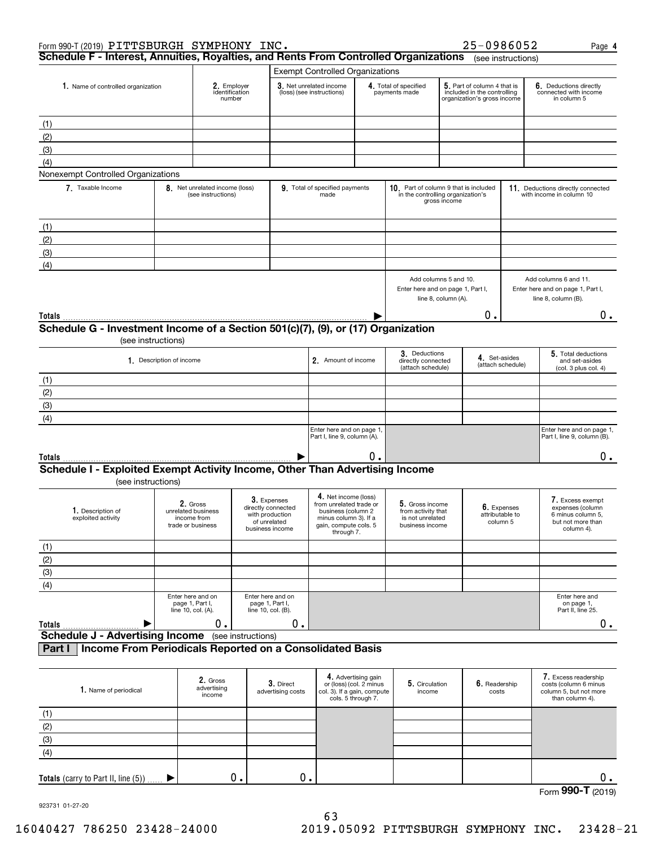|                                    | Form 990-T (2019) PITTSBURGH SYMPHONY INC.                                                         |                                         |                                                                    |                                       |                                                                      |                                                                                                                                       |                                                                      |                                                                                   |                                                                                           | 25-0986052                  |                                                                                   |                                                               | Page 4                                                                                       |
|------------------------------------|----------------------------------------------------------------------------------------------------|-----------------------------------------|--------------------------------------------------------------------|---------------------------------------|----------------------------------------------------------------------|---------------------------------------------------------------------------------------------------------------------------------------|----------------------------------------------------------------------|-----------------------------------------------------------------------------------|-------------------------------------------------------------------------------------------|-----------------------------|-----------------------------------------------------------------------------------|---------------------------------------------------------------|----------------------------------------------------------------------------------------------|
|                                    | Schedule F - Interest, Annuities, Royalties, and Rents From Controlled Organizations               |                                         |                                                                    |                                       |                                                                      |                                                                                                                                       |                                                                      |                                                                                   |                                                                                           |                             | (see instructions)                                                                |                                                               |                                                                                              |
|                                    |                                                                                                    |                                         |                                                                    |                                       |                                                                      | <b>Exempt Controlled Organizations</b>                                                                                                |                                                                      |                                                                                   |                                                                                           |                             |                                                                                   |                                                               |                                                                                              |
| 1. Name of controlled organization |                                                                                                    | 2. Employer<br>identification<br>number |                                                                    |                                       | 3. Net unrelated income<br>(loss) (see instructions)                 |                                                                                                                                       | 4. Total of specified<br>payments made                               |                                                                                   | 5. Part of column 4 that is<br>included in the controlling<br>organization's gross income |                             | 6. Deductions directly<br>connected with income<br>in column 5                    |                                                               |                                                                                              |
| (1)                                |                                                                                                    |                                         |                                                                    |                                       |                                                                      |                                                                                                                                       |                                                                      |                                                                                   |                                                                                           |                             |                                                                                   |                                                               |                                                                                              |
| (2)                                |                                                                                                    |                                         |                                                                    |                                       |                                                                      |                                                                                                                                       |                                                                      |                                                                                   |                                                                                           |                             |                                                                                   |                                                               |                                                                                              |
| (3)                                |                                                                                                    |                                         |                                                                    |                                       |                                                                      |                                                                                                                                       |                                                                      |                                                                                   |                                                                                           |                             |                                                                                   |                                                               |                                                                                              |
| (4)                                |                                                                                                    |                                         |                                                                    |                                       |                                                                      |                                                                                                                                       |                                                                      |                                                                                   |                                                                                           |                             |                                                                                   |                                                               |                                                                                              |
|                                    | Nonexempt Controlled Organizations                                                                 |                                         |                                                                    |                                       |                                                                      |                                                                                                                                       |                                                                      |                                                                                   |                                                                                           |                             |                                                                                   |                                                               |                                                                                              |
|                                    | 7 Taxable Income                                                                                   |                                         | 8. Net unrelated income (loss)<br>(see instructions)               |                                       |                                                                      | 9. Total of specified payments<br>made                                                                                                |                                                                      | 10. Part of column 9 that is included<br>in the controlling organization's        | gross income                                                                              |                             |                                                                                   |                                                               | 11. Deductions directly connected<br>with income in column 10                                |
| (1)                                |                                                                                                    |                                         |                                                                    |                                       |                                                                      |                                                                                                                                       |                                                                      |                                                                                   |                                                                                           |                             |                                                                                   |                                                               |                                                                                              |
| (2)                                |                                                                                                    |                                         |                                                                    |                                       |                                                                      |                                                                                                                                       |                                                                      |                                                                                   |                                                                                           |                             |                                                                                   |                                                               |                                                                                              |
| (3)                                |                                                                                                    |                                         |                                                                    |                                       |                                                                      |                                                                                                                                       |                                                                      |                                                                                   |                                                                                           |                             |                                                                                   |                                                               |                                                                                              |
| (4)                                |                                                                                                    |                                         |                                                                    |                                       |                                                                      |                                                                                                                                       |                                                                      |                                                                                   |                                                                                           |                             |                                                                                   |                                                               |                                                                                              |
|                                    |                                                                                                    |                                         |                                                                    |                                       |                                                                      |                                                                                                                                       |                                                                      |                                                                                   |                                                                                           |                             |                                                                                   |                                                               |                                                                                              |
|                                    |                                                                                                    |                                         |                                                                    |                                       |                                                                      |                                                                                                                                       |                                                                      | Add columns 5 and 10.<br>Enter here and on page 1, Part I,<br>line 8, column (A). |                                                                                           |                             | Add columns 6 and 11.<br>Enter here and on page 1, Part I,<br>line 8, column (B). |                                                               |                                                                                              |
| <b>Totals</b>                      |                                                                                                    |                                         |                                                                    |                                       |                                                                      |                                                                                                                                       |                                                                      |                                                                                   |                                                                                           | О.                          |                                                                                   |                                                               | 0.                                                                                           |
|                                    | Schedule G - Investment Income of a Section 501(c)(7), (9), or (17) Organization                   |                                         |                                                                    |                                       |                                                                      |                                                                                                                                       |                                                                      |                                                                                   |                                                                                           |                             |                                                                                   |                                                               |                                                                                              |
|                                    |                                                                                                    | (see instructions)                      |                                                                    |                                       |                                                                      |                                                                                                                                       |                                                                      |                                                                                   |                                                                                           |                             |                                                                                   |                                                               |                                                                                              |
|                                    | 1. Description of income                                                                           |                                         |                                                                    |                                       | 2. Amount of income                                                  |                                                                                                                                       | 3. Deductions<br>directly connected<br>(attach schedule)             |                                                                                   | 4. Set-asides                                                                             | (attach schedule)           |                                                                                   | 5. Total deductions<br>and set-asides<br>(col. 3 plus col. 4) |                                                                                              |
| (1)                                |                                                                                                    |                                         |                                                                    |                                       |                                                                      |                                                                                                                                       |                                                                      |                                                                                   |                                                                                           |                             |                                                                                   |                                                               |                                                                                              |
| (2)                                |                                                                                                    |                                         |                                                                    |                                       |                                                                      |                                                                                                                                       |                                                                      |                                                                                   |                                                                                           |                             |                                                                                   |                                                               |                                                                                              |
| (3)                                |                                                                                                    |                                         |                                                                    |                                       |                                                                      |                                                                                                                                       |                                                                      |                                                                                   |                                                                                           |                             |                                                                                   |                                                               |                                                                                              |
| (4)                                |                                                                                                    |                                         |                                                                    |                                       |                                                                      |                                                                                                                                       |                                                                      |                                                                                   |                                                                                           |                             |                                                                                   |                                                               |                                                                                              |
|                                    |                                                                                                    |                                         |                                                                    |                                       |                                                                      | Enter here and on page 1,<br>Part I, line 9, column (A).                                                                              |                                                                      |                                                                                   |                                                                                           |                             |                                                                                   |                                                               | Enter here and on page 1,<br>Part I, line 9, column (B).                                     |
| Totals                             |                                                                                                    |                                         |                                                                    |                                       |                                                                      |                                                                                                                                       | 0.                                                                   |                                                                                   |                                                                                           |                             |                                                                                   |                                                               | 0.                                                                                           |
|                                    | Schedule I - Exploited Exempt Activity Income, Other Than Advertising Income<br>(see instructions) |                                         |                                                                    |                                       |                                                                      |                                                                                                                                       |                                                                      |                                                                                   |                                                                                           |                             |                                                                                   |                                                               |                                                                                              |
|                                    | 1. Description of<br>exploited activity                                                            |                                         | 2. Gross<br>unrelated business<br>income from<br>trade or business | with production                       | 3. Expenses<br>directly connected<br>of unrelated<br>business income | 4. Net income (loss)<br>from unrelated trade or<br>business (column 2<br>minus column 3). If a<br>gain, compute cols. 5<br>through 7. |                                                                      | 5. Gross income<br>from activity that<br>is not unrelated<br>business income      |                                                                                           | attributable to<br>column 5 | 6. Expenses                                                                       |                                                               | 7. Excess exempt<br>expenses (column<br>6 minus column 5,<br>but not more than<br>column 4). |
| (1)                                |                                                                                                    |                                         |                                                                    |                                       |                                                                      |                                                                                                                                       |                                                                      |                                                                                   |                                                                                           |                             |                                                                                   |                                                               |                                                                                              |
| (2)                                |                                                                                                    |                                         |                                                                    |                                       |                                                                      |                                                                                                                                       |                                                                      |                                                                                   |                                                                                           |                             |                                                                                   |                                                               |                                                                                              |
| (3)                                |                                                                                                    |                                         |                                                                    |                                       |                                                                      |                                                                                                                                       |                                                                      |                                                                                   |                                                                                           |                             |                                                                                   |                                                               |                                                                                              |
| (4)                                |                                                                                                    |                                         |                                                                    |                                       |                                                                      |                                                                                                                                       |                                                                      |                                                                                   |                                                                                           |                             |                                                                                   |                                                               |                                                                                              |
|                                    |                                                                                                    |                                         | Enter here and on<br>page 1, Part I,<br>line 10, col. (A).         | page 1, Part I,<br>line 10, col. (B). | Enter here and on                                                    |                                                                                                                                       |                                                                      |                                                                                   |                                                                                           |                             |                                                                                   |                                                               | Enter here and<br>on page 1,<br>Part II, line 25.                                            |
| Totals                             |                                                                                                    |                                         | 0.                                                                 |                                       | 0.                                                                   |                                                                                                                                       |                                                                      |                                                                                   |                                                                                           |                             |                                                                                   |                                                               | $0$ .                                                                                        |
|                                    | <b>Schedule J - Advertising Income</b> (see instructions)                                          |                                         |                                                                    |                                       |                                                                      |                                                                                                                                       |                                                                      |                                                                                   |                                                                                           |                             |                                                                                   |                                                               |                                                                                              |
| Part I                             | <b>Income From Periodicals Reported on a Consolidated Basis</b>                                    |                                         |                                                                    |                                       |                                                                      |                                                                                                                                       |                                                                      |                                                                                   |                                                                                           |                             |                                                                                   |                                                               |                                                                                              |
|                                    | 1. Name of periodical                                                                              |                                         | 2. Gross<br>advertising<br>income                                  |                                       | 3. Direct<br>advertising costs                                       | col. 3). If a gain, compute                                                                                                           | 4. Advertising gain<br>or (loss) (col. 2 minus<br>cols. 5 through 7. | 5. Circulation<br>income                                                          |                                                                                           | 6. Readership<br>costs      |                                                                                   |                                                               | 7. Excess readership<br>costs (column 6 minus<br>column 5, but not more<br>than column 4).   |
| (1)                                |                                                                                                    |                                         |                                                                    |                                       |                                                                      |                                                                                                                                       |                                                                      |                                                                                   |                                                                                           |                             |                                                                                   |                                                               |                                                                                              |
| (2)                                |                                                                                                    |                                         |                                                                    |                                       |                                                                      |                                                                                                                                       |                                                                      |                                                                                   |                                                                                           |                             |                                                                                   |                                                               |                                                                                              |
| (3)                                |                                                                                                    |                                         |                                                                    |                                       |                                                                      |                                                                                                                                       |                                                                      |                                                                                   |                                                                                           |                             |                                                                                   |                                                               |                                                                                              |
| (4)                                |                                                                                                    |                                         |                                                                    |                                       |                                                                      |                                                                                                                                       |                                                                      |                                                                                   |                                                                                           |                             |                                                                                   |                                                               |                                                                                              |

Form (2019) **990-T**

923731 01-27-20

0. 0. 0.

 $\blacktriangleright$ 

**Totals** (carry to Part II, line (5))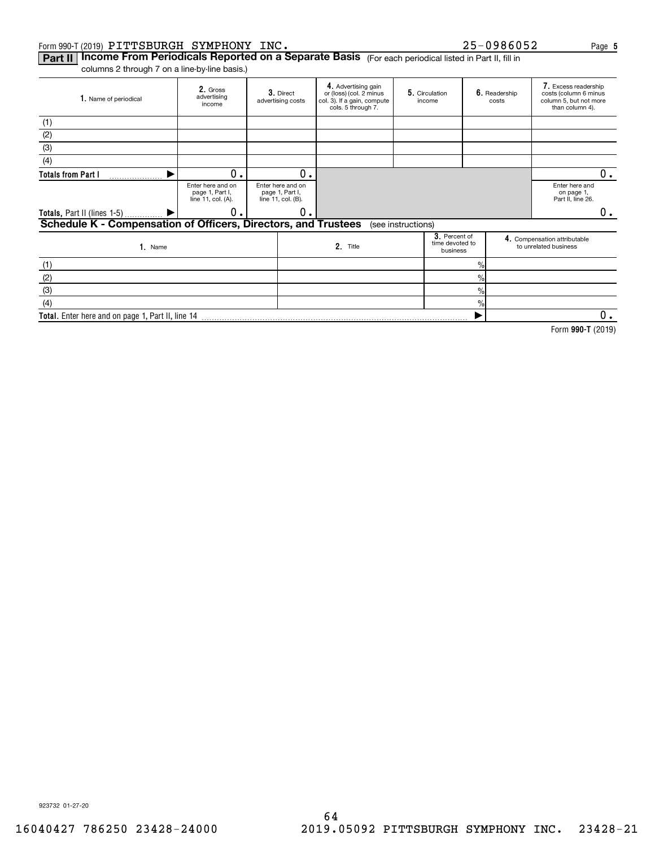#### Form 990-T (2019) <code>PITTSBURGH SYMPHONY INC</code> .  $25-0986052$  Page

**Part II | Income From Periodicals Reported on a Separate Basis** (For each periodical listed in Part II, fill in

columns 2 through 7 on a line-by-line basis.)

| 1. Name of periodical                                          | 2. Gross<br>advertising<br>income                          | 3. Direct<br>advertising costs                             | 4. Advertising gain<br>or (loss) (col. 2 minus<br>col. 3). If a gain, compute<br>cols. 5 through 7. | 5. Circulation<br>income                     | 6. Readership<br>costs | 7. Excess readership<br>costs (column 6 minus<br>column 5, but not more<br>than column 4). |    |
|----------------------------------------------------------------|------------------------------------------------------------|------------------------------------------------------------|-----------------------------------------------------------------------------------------------------|----------------------------------------------|------------------------|--------------------------------------------------------------------------------------------|----|
| (1)                                                            |                                                            |                                                            |                                                                                                     |                                              |                        |                                                                                            |    |
| (2)                                                            |                                                            |                                                            |                                                                                                     |                                              |                        |                                                                                            |    |
| (3)                                                            |                                                            |                                                            |                                                                                                     |                                              |                        |                                                                                            |    |
| (4)                                                            |                                                            |                                                            |                                                                                                     |                                              |                        |                                                                                            |    |
| <b>Totals from Part I</b>                                      | $0$ .                                                      | О.                                                         |                                                                                                     |                                              |                        |                                                                                            | 0. |
|                                                                | Enter here and on<br>page 1, Part I,<br>line 11, col. (A). | Enter here and on<br>page 1, Part I,<br>line 11, col. (B). |                                                                                                     |                                              |                        | Enter here and<br>on page 1,<br>Part II, line 26.                                          |    |
| Totals, Part II (lines 1-5)  ▶                                 | 0.                                                         | 0.                                                         |                                                                                                     |                                              |                        |                                                                                            | 0. |
| Schedule K - Compensation of Officers, Directors, and Trustees |                                                            |                                                            |                                                                                                     | (see instructions)                           |                        |                                                                                            |    |
| 1. Name                                                        |                                                            |                                                            | 2. Title                                                                                            | 3. Percent of<br>time devoted to<br>business |                        | 4. Compensation attributable<br>to unrelated business                                      |    |
| (1)                                                            |                                                            |                                                            |                                                                                                     |                                              | $\frac{9}{10}$         |                                                                                            |    |
| (2)                                                            |                                                            |                                                            |                                                                                                     |                                              | $\frac{9}{10}$         |                                                                                            |    |
| (3)                                                            |                                                            |                                                            |                                                                                                     |                                              | $\%$                   |                                                                                            |    |
| (4)                                                            |                                                            |                                                            |                                                                                                     |                                              | $\%$                   |                                                                                            |    |
| Total. Enter here and on page 1, Part II, line 14              |                                                            |                                                            |                                                                                                     |                                              |                        |                                                                                            | 0. |

**990-T**  Form (2019)

**5**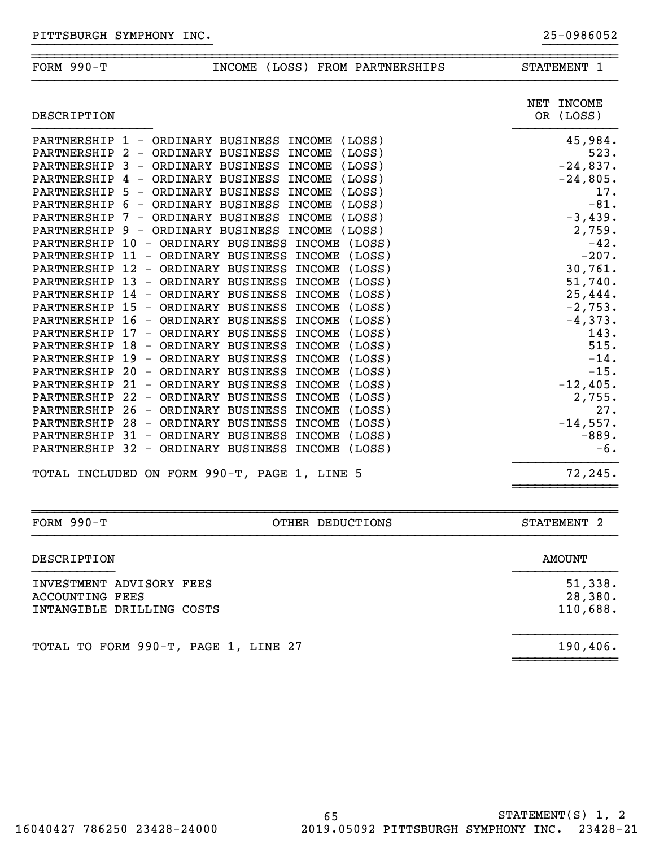| <b>FORM 990-T</b>          | INCOME (LOSS) FROM PARTNERSHIPS                                                                     | STATEMENT 1              |
|----------------------------|-----------------------------------------------------------------------------------------------------|--------------------------|
| DESCRIPTION                |                                                                                                     | NET INCOME<br>OR (LOSS)  |
|                            | (Loss)<br>PARTNERSHIP 1 - ORDINARY BUSINESS INCOME                                                  | 45,984.<br>523.          |
|                            | PARTNERSHIP 2 - ORDINARY BUSINESS INCOME<br>(LOSS)<br>$\overline{3}$                                |                          |
| PARTNERSHIP<br>PARTNERSHIP | <b>INCOME</b><br>(LOSS)<br>- ORDINARY BUSINESS<br>(LOSS)<br>ORDINARY BUSINESS<br><b>INCOME</b><br>4 | $-24,837.$<br>$-24,805.$ |
| PARTNERSHIP                | $\overline{\phantom{m}}$<br>ORDINARY BUSINESS<br>(LOSS)<br><b>INCOME</b><br>-5<br>$\sim$            | 17.                      |
| PARTNERSHIP 6              | (LOSS)<br>ORDINARY BUSINESS INCOME<br>$\hspace{0.1mm}-\hspace{0.1mm}$                               | $-81.$                   |
| PARTNERSHIP                | ORDINARY BUSINESS<br><b>INCOME</b><br>(LOSS)<br>7<br>$\overline{\phantom{a}}$                       | $-3,439.$                |
| PARTNERSHIP 9              | ORDINARY BUSINESS<br>(Loss)<br><b>INCOME</b><br>$\overline{\phantom{m}}$                            | 2,759.                   |
|                            | PARTNERSHIP 10 - ORDINARY BUSINESS INCOME (LOSS)                                                    | $-42.$                   |
|                            | PARTNERSHIP 11 - ORDINARY BUSINESS<br>INCOME (LOSS)                                                 | $-207.$                  |
| PARTNERSHIP 12 -           | (Loss)<br>ORDINARY BUSINESS<br><b>INCOME</b>                                                        | 30,761.                  |
| PARTNERSHIP 13 -           | ORDINARY BUSINESS<br>(LOSS)<br>INCOME                                                               | 51,740.                  |
|                            | PARTNERSHIP 14 - ORDINARY BUSINESS<br>INCOME (LOSS)                                                 | 25,444.                  |
|                            | PARTNERSHIP 15 - ORDINARY BUSINESS<br>INCOME (LOSS)                                                 | $-2,753.$                |
| PARTNERSHIP 16 -           | ORDINARY BUSINESS<br><b>INCOME</b><br>(Loss)                                                        | $-4,373.$                |
| PARTNERSHIP 17 -           | ORDINARY BUSINESS<br><b>INCOME</b><br>(LOSS)                                                        | 143.                     |
|                            | PARTNERSHIP 18 - ORDINARY BUSINESS<br>INCOME (LOSS)                                                 | 515.                     |
| PARTNERSHIP                | $19 -$<br>(Loss)<br>ORDINARY BUSINESS<br><b>INCOME</b>                                              | $-14.$                   |
| PARTNERSHIP                | $20 -$<br>ORDINARY BUSINESS<br>(Loss)<br><b>INCOME</b>                                              | $-15.$                   |
| PARTNERSHIP                | $21 -$<br>ORDINARY BUSINESS<br>INCOME (LOSS)                                                        | $-12,405.$               |
| PARTNERSHIP 22 -           | ORDINARY BUSINESS<br>INCOME (LOSS)                                                                  | 2,755.                   |
| PARTNERSHIP                | 26<br>ORDINARY BUSINESS<br>(Loss)<br><b>INCOME</b><br>$\overline{\phantom{m}}$                      | 27.                      |
| PARTNERSHIP                | $28 -$<br>ORDINARY BUSINESS<br><b>INCOME</b><br>(LOSS)                                              | $-14,557.$               |
|                            | PARTNERSHIP 31 - ORDINARY BUSINESS<br>(LOSS)<br><b>INCOME</b>                                       | $-889.$                  |
| PARTNERSHIP 32 -           | ORDINARY BUSINESS<br><b>INCOME</b><br>(LOSS)                                                        | $-6$ .                   |
|                            | TOTAL INCLUDED ON FORM 990-T, PAGE 1, LINE 5                                                        | 72,245.                  |

}}}}}}}}}}}}}}}}}}}}}}}} }}}}}}}}}}

~~~~~~~~~~~~~~~~~~~~~~~~~~~~~~~~~~~~~~~~~~~~~~~~~~~~~~~~~~~~~~~~~~~~~~~~~~~~~~

| FORM $990-T$<br>OTHER DEDUCTIONS                                         | STATEMENT 2                    |
|--------------------------------------------------------------------------|--------------------------------|
| DESCRIPTION                                                              | AMOUNT                         |
| INVESTMENT ADVISORY FEES<br>ACCOUNTING FEES<br>INTANGIBLE DRILLING COSTS | 51,338.<br>28,380.<br>110,688. |
| TOTAL TO FORM 990-T, PAGE 1, LINE 27                                     | 190, 406.                      |

~~~~~~~~~~~~~~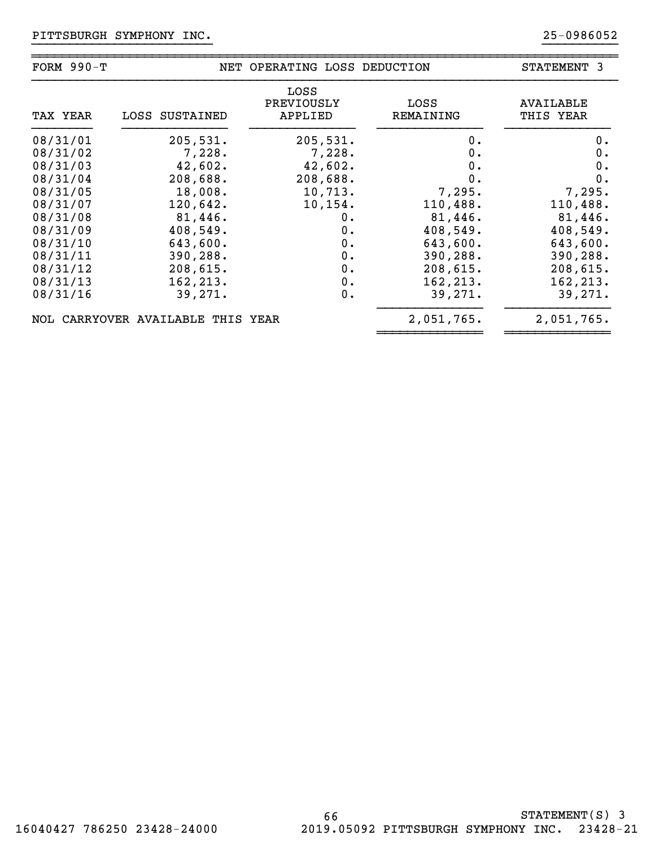| FORM $990-T$ |                                   | NET OPERATING LOSS DEDUCTION  |                   | STATEMENT 3                   |
|--------------|-----------------------------------|-------------------------------|-------------------|-------------------------------|
| TAX YEAR     | LOSS SUSTAINED                    | LOSS<br>PREVIOUSLY<br>APPLIED | LOSS<br>REMAINING | <b>AVAILABLE</b><br>THIS YEAR |
| 08/31/01     | 205,531.                          | 205,531.                      | 0.                | 0.                            |
| 08/31/02     | 7,228.                            | 7,228.                        | 0.                | 0.                            |
| 08/31/03     | 42,602.                           | 42,602.                       | 0.                | 0.                            |
| 08/31/04     | 208,688.                          | 208,688.                      | 0.                | 0.                            |
| 08/31/05     | 18,008.                           | 10,713.                       | 7,295.            | 7,295.                        |
| 08/31/07     | 120,642.                          | 10, 154.                      | 110,488.          | 110,488.                      |
| 08/31/08     | 81,446.                           | 0.                            | 81,446.           | 81,446.                       |
| 08/31/09     | 408,549.                          | 0.                            | 408,549.          | 408,549.                      |
| 08/31/10     | 643,600.                          | 0.                            | 643,600.          | 643,600.                      |
| 08/31/11     | 390,288.                          | 0.                            | 390,288.          | 390,288.                      |
| 08/31/12     | 208,615.                          | 0.                            | 208,615.          | 208,615.                      |
| 08/31/13     | 162, 213.                         | $0$ .                         | 162, 213.         | 162,213.                      |
| 08/31/16     | 39,271.                           | 0.                            | 39, 271.          | 39,271.                       |
|              | NOL CARRYOVER AVAILABLE THIS YEAR |                               | 2,051,765.        | 2,051,765.                    |

}}}}}}}}}}}}}}}}}}}}}}}} }}}}}}}}}}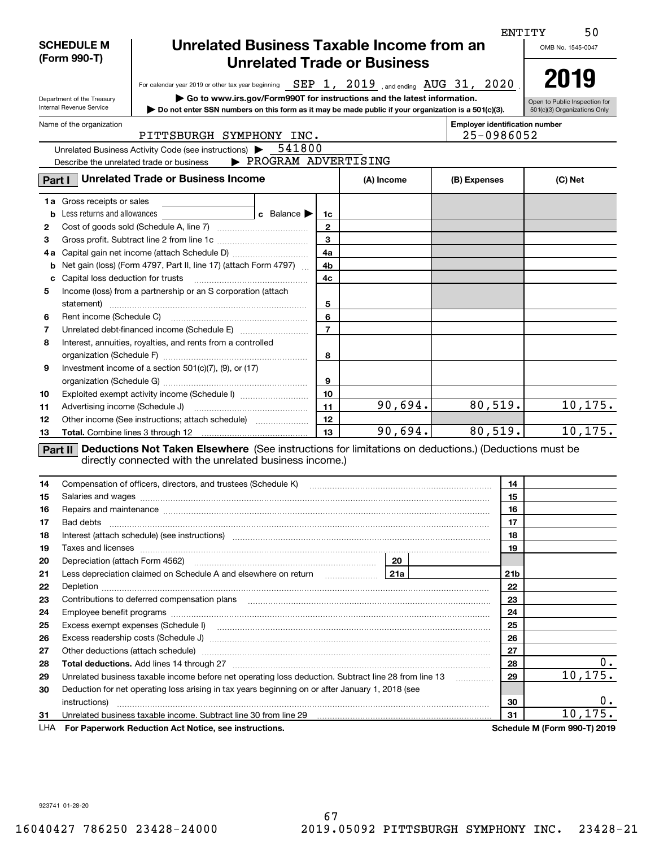|     |                                   |                                                                                                                                                                                                                                |                |            |                                       | <b>ENTITY</b><br>50           |
|-----|-----------------------------------|--------------------------------------------------------------------------------------------------------------------------------------------------------------------------------------------------------------------------------|----------------|------------|---------------------------------------|-------------------------------|
|     | <b>SCHEDULE M</b>                 | Unrelated Business Taxable Income from an                                                                                                                                                                                      |                |            |                                       | OMB No. 1545-0047             |
|     | (Form 990-T)                      | <b>Unrelated Trade or Business</b>                                                                                                                                                                                             |                |            |                                       |                               |
|     |                                   |                                                                                                                                                                                                                                |                |            |                                       | 2019                          |
|     |                                   | For calendar year 2019 or other tax year beginning SEP 1, 2019 , and ending AUG 31, 2020                                                                                                                                       |                |            |                                       |                               |
|     | Department of the Treasury        | $\triangleright$ Go to www.irs.gov/Form990T for instructions and the latest information.                                                                                                                                       |                |            |                                       | Open to Public Inspection for |
|     | Internal Revenue Service          | Do not enter SSN numbers on this form as it may be made public if your organization is a 501(c)(3).                                                                                                                            |                |            |                                       | 501(c)(3) Organizations Only  |
|     | Name of the organization          |                                                                                                                                                                                                                                |                |            | <b>Employer identification number</b> |                               |
|     |                                   | PITTSBURGH SYMPHONY INC.                                                                                                                                                                                                       |                |            | 25-0986052                            |                               |
|     |                                   | Unrelated Business Activity Code (see instructions) $\blacktriangleright$ 541800                                                                                                                                               |                |            |                                       |                               |
|     |                                   | > PROGRAM ADVERTISING<br>Describe the unrelated trade or business                                                                                                                                                              |                |            |                                       |                               |
|     | Part I                            | <b>Unrelated Trade or Business Income</b>                                                                                                                                                                                      |                | (A) Income | (B) Expenses                          | (C) Net                       |
|     | <b>1a</b> Gross receipts or sales |                                                                                                                                                                                                                                |                |            |                                       |                               |
| b   | Less returns and allowances       | c Balance $\blacktriangleright$                                                                                                                                                                                                | 1c             |            |                                       |                               |
| 2   |                                   |                                                                                                                                                                                                                                | $\mathbf{2}$   |            |                                       |                               |
| з   |                                   |                                                                                                                                                                                                                                | $\overline{3}$ |            |                                       |                               |
| 4а  |                                   |                                                                                                                                                                                                                                | 4a             |            |                                       |                               |
| b   |                                   | Net gain (loss) (Form 4797, Part II, line 17) (attach Form 4797)                                                                                                                                                               | 4b             |            |                                       |                               |
| с   | Capital loss deduction for trusts |                                                                                                                                                                                                                                | 4c             |            |                                       |                               |
| 5   |                                   | Income (loss) from a partnership or an S corporation (attach                                                                                                                                                                   |                |            |                                       |                               |
|     |                                   |                                                                                                                                                                                                                                | 5              |            |                                       |                               |
| 6   |                                   |                                                                                                                                                                                                                                | 6              |            |                                       |                               |
| 7   |                                   |                                                                                                                                                                                                                                | $\overline{7}$ |            |                                       |                               |
| 8   |                                   | Interest, annuities, royalties, and rents from a controlled                                                                                                                                                                    |                |            |                                       |                               |
|     |                                   |                                                                                                                                                                                                                                | 8              |            |                                       |                               |
| 9   |                                   | Investment income of a section $501(c)(7)$ , (9), or (17)                                                                                                                                                                      |                |            |                                       |                               |
|     |                                   |                                                                                                                                                                                                                                | 9              |            |                                       |                               |
| 10  |                                   | Exploited exempt activity income (Schedule I)                                                                                                                                                                                  | 10             |            |                                       |                               |
| 11  |                                   |                                                                                                                                                                                                                                | 11             | 90,694.    | 80,519.                               | 10, 175.                      |
| 12  |                                   | Other income (See instructions; attach schedule)                                                                                                                                                                               | 12             |            |                                       |                               |
| 13  |                                   |                                                                                                                                                                                                                                | 13             | 90,694.    | 80,519.                               | 10, 175.                      |
|     |                                   | Part II Deductions Not Taken Elsewhere (See instructions for limitations on deductions.) (Deductions must be                                                                                                                   |                |            |                                       |                               |
|     |                                   | directly connected with the unrelated business income.)                                                                                                                                                                        |                |            |                                       |                               |
| 14  |                                   | Compensation of officers, directors, and trustees (Schedule K)                                                                                                                                                                 |                |            | 14                                    |                               |
| 15  |                                   |                                                                                                                                                                                                                                |                |            | 15                                    |                               |
| 16  |                                   | Repairs and maintenance measurements are all the contract of the contract of the contract of the contract of the contract of the contract of the contract of the contract of the contract of the contract of the contract of t |                |            | 16                                    |                               |
| 17  | Bad debts                         |                                                                                                                                                                                                                                |                |            | 17                                    |                               |
| 18  |                                   | Interest (attach schedule) (see instructions) material content in the content of the content of the content of                                                                                                                 |                |            | 18                                    |                               |
| 19  |                                   |                                                                                                                                                                                                                                |                |            | 19                                    |                               |
| 20  |                                   |                                                                                                                                                                                                                                |                |            |                                       |                               |
| 21  |                                   | Less depreciation claimed on Schedule A and elsewhere on return <b>Fig. 1214</b>                                                                                                                                               |                |            | 21 <sub>b</sub>                       |                               |
| 22  |                                   |                                                                                                                                                                                                                                |                |            | 22                                    |                               |
| 23  |                                   |                                                                                                                                                                                                                                |                |            | 23                                    |                               |
| 24  |                                   |                                                                                                                                                                                                                                |                |            | 24                                    |                               |
| 25  |                                   |                                                                                                                                                                                                                                |                |            | 25                                    |                               |
| 26  |                                   |                                                                                                                                                                                                                                |                |            | 26                                    |                               |
| 27  |                                   | Other deductions (attach schedule) manufactured and an according of the deductions (attach schedule)                                                                                                                           |                |            | 27                                    |                               |
| 28  |                                   |                                                                                                                                                                                                                                |                |            | 28                                    | 0.                            |
| 29  |                                   | Unrelated business taxable income before net operating loss deduction. Subtract line 28 from line 13                                                                                                                           |                |            | 29                                    | 10, 175.                      |
| 30  |                                   | Deduction for net operating loss arising in tax years beginning on or after January 1, 2018 (see                                                                                                                               |                |            |                                       |                               |
|     | instructions)                     |                                                                                                                                                                                                                                |                |            | 30                                    | 0.                            |
| 31  |                                   | Unrelated business taxable income. Subtract line 30 from line 29                                                                                                                                                               |                |            | 31                                    | 10, 175                       |
| LHA |                                   | For Paperwork Reduction Act Notice, see instructions.                                                                                                                                                                          |                |            |                                       | Schedule M (Form 990-T) 2019  |

923741 01-28-20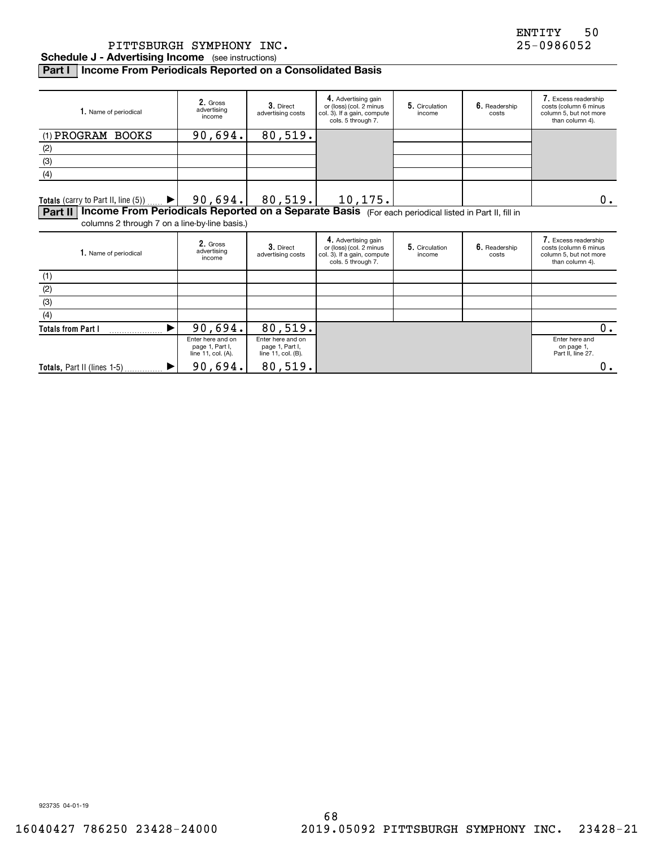PITTSBURGH SYMPHONY INC. 25-0986052

**Schedule J - Advertising Income** (see instructions)

### **Part I Income From Periodicals Reported on a Consolidated Basis**

| 1. Name of periodical                                                                                                                                           | 2. Gross<br>advertising<br>income | 3. Direct<br>advertising costs | 4. Advertising gain<br>or (loss) (col. 2 minus<br>col. 3). If a gain, compute<br>cols. 5 through 7. | 5. Circulation<br>income | 6. Readership<br>costs | 7. Excess readership<br>costs (column 6 minus<br>column 5, but not more<br>than column 4). |  |  |
|-----------------------------------------------------------------------------------------------------------------------------------------------------------------|-----------------------------------|--------------------------------|-----------------------------------------------------------------------------------------------------|--------------------------|------------------------|--------------------------------------------------------------------------------------------|--|--|
| (1) PROGRAM BOOKS                                                                                                                                               | 90,694.                           | 80,519.                        |                                                                                                     |                          |                        |                                                                                            |  |  |
| (2)                                                                                                                                                             |                                   |                                |                                                                                                     |                          |                        |                                                                                            |  |  |
| (3)                                                                                                                                                             |                                   |                                |                                                                                                     |                          |                        |                                                                                            |  |  |
| (4)                                                                                                                                                             |                                   |                                |                                                                                                     |                          |                        |                                                                                            |  |  |
| Totals (carry to Part II, line $(5)$ )<br>$\blacktriangleright$                                                                                                 | 90,694.                           | 80,519.                        | 10,175.                                                                                             |                          |                        | 0.                                                                                         |  |  |
| Part II   Income From Periodicals Reported on a Separate Basis (For each periodical listed in Part II, fill in<br>columns 2 through 7 on a line-by-line basis.) |                                   |                                |                                                                                                     |                          |                        |                                                                                            |  |  |
| 1. Name of periodical                                                                                                                                           | 2. Gross<br>advertising<br>income | 3. Direct<br>advertising costs | 4. Advertising gain<br>or (loss) (col. 2 minus<br>col. 3). If a gain, compute<br>cols. 5 through 7. | 5. Circulation<br>income | 6. Readership<br>costs | 7. Excess readership<br>costs (column 6 minus<br>column 5, but not more<br>than column 4). |  |  |

| 1. Name of periodical       | $\mathsf{L}$ . GIUSS<br>advertising<br>income              | 3. Direct<br>advertising costs                             | or (loss) (col. 2 minus<br>col. 3). If a gain, compute<br>cols. 5 through 7. | 5. Circulation<br>income | 6. Readership<br>costs | costs (column 6 minus<br>column 5, but not more<br>than column 4). |
|-----------------------------|------------------------------------------------------------|------------------------------------------------------------|------------------------------------------------------------------------------|--------------------------|------------------------|--------------------------------------------------------------------|
| (1)                         |                                                            |                                                            |                                                                              |                          |                        |                                                                    |
| (2)                         |                                                            |                                                            |                                                                              |                          |                        |                                                                    |
| (3)                         |                                                            |                                                            |                                                                              |                          |                        |                                                                    |
| (4)                         |                                                            |                                                            |                                                                              |                          |                        |                                                                    |
| <b>Totals from Part I</b>   | 90,694.                                                    | 80,519.                                                    |                                                                              |                          |                        |                                                                    |
|                             | Enter here and on<br>page 1, Part I,<br>line 11, col. (A). | Enter here and on<br>page 1, Part I,<br>line 11, col. (B). |                                                                              |                          |                        | Enter here and<br>on page 1,<br>Part II, line 27.                  |
| Totals, Part II (lines 1-5) | 90,694.                                                    | 80,519.                                                    |                                                                              |                          |                        | 0.                                                                 |

923735 04-01-19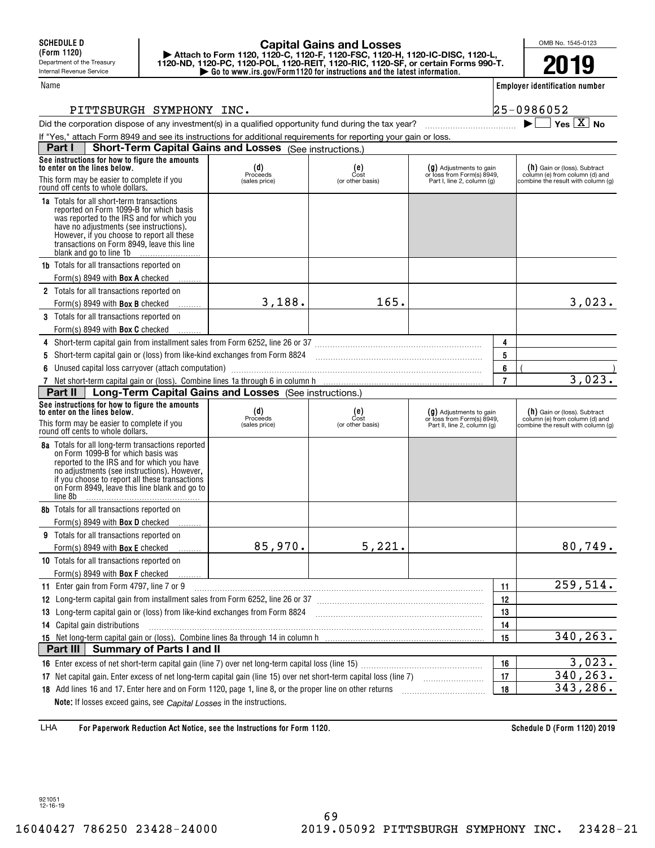### **| Go to www.irs.gov/Form1120 for instructions and the latest information. | Attach to Form 1120, 1120-C, 1120-F, 1120-FSC, 1120-H, 1120-IC-DISC, 1120-L, 1120-ND, 1120-PC, 1120-POL, 1120-REIT, 1120-RIC, 1120-SF, or certain Forms 990-T. Capital Gains and Losses**

OMB No. 1545-0123 **2019**

**Employer identification number**

 $\blacktriangleright$   $\Box$  Yes  $\boxed{X}$  No

#### PITTSBURGH SYMPHONY INC. 25-0986052

| Did the corporation dispose of any investment(s) in a qualified opportunity fund during the tax year? |  |
|-------------------------------------------------------------------------------------------------------|--|
|                                                                                                       |  |

| If "Yes," attach Form 8949 and see its instructions for additional requirements for reporting your gain or loss.                                                                                                                                                                                           |                |                               |                                                         |                |                                                                  |  |
|------------------------------------------------------------------------------------------------------------------------------------------------------------------------------------------------------------------------------------------------------------------------------------------------------------|----------------|-------------------------------|---------------------------------------------------------|----------------|------------------------------------------------------------------|--|
| <b>Short-Term Capital Gains and Losses</b> (See instructions.)<br>Part I                                                                                                                                                                                                                                   |                |                               |                                                         |                |                                                                  |  |
| See instructions for how to figure the amounts<br>to enter on the lines below.                                                                                                                                                                                                                             | $(d)$ Proceeds | $_{\text{Cost}}^{\text{(e)}}$ | $(g)$ Adjustments to gain<br>or loss from Form(s) 8949, |                | $(h)$ Gain or (loss). Subtract<br>column (e) from column (d) and |  |
| This form may be easier to complete if you<br>round off cents to whole dollars.                                                                                                                                                                                                                            | (sales price)  | (or other basis)              | Part I, line 2, column (g)                              |                | combine the result with column (g)                               |  |
| <b>1a</b> Totals for all short-term transactions<br>reported on Form 1099-B for which basis<br>was reported to the IRS and for which you<br>have no adjustments (see instructions).<br>However, if you choose to report all these<br>transactions on Form 8949, leave this line<br>blank and go to line 1b |                |                               |                                                         |                |                                                                  |  |
| 1b Totals for all transactions reported on                                                                                                                                                                                                                                                                 |                |                               |                                                         |                |                                                                  |  |
| Form(s) 8949 with <b>Box A</b> checked                                                                                                                                                                                                                                                                     |                |                               |                                                         |                |                                                                  |  |
| 2 Totals for all transactions reported on                                                                                                                                                                                                                                                                  |                |                               |                                                         |                |                                                                  |  |
| Form(s) 8949 with <b>Box B</b> checked                                                                                                                                                                                                                                                                     | 3,188.         | 165.                          |                                                         |                | 3,023.                                                           |  |
| 3 Totals for all transactions reported on                                                                                                                                                                                                                                                                  |                |                               |                                                         |                |                                                                  |  |
| Form(s) 8949 with <b>Box C</b> checked                                                                                                                                                                                                                                                                     |                |                               |                                                         |                |                                                                  |  |
| 4 Short-term capital gain from installment sales from Form 6252, line 26 or 37 [11] [12] Short-term capital gain from installment sales from Form 6252, line 26 or 37                                                                                                                                      |                |                               |                                                         | 4              |                                                                  |  |
| 5 Short-term capital gain or (loss) from like-kind exchanges from Form 8824 [11] [11] [12] Short-term capital gain or (loss) from like-kind exchanges from Form 8824                                                                                                                                       |                |                               |                                                         | 5              |                                                                  |  |
| 6 Unused capital loss carryover (attach computation) manufactured content to content the content of the content of the content of the content of the content of the content of the content of the content of the content of th                                                                             |                |                               |                                                         | 6              |                                                                  |  |
| 7 Net short-term capital gain or (loss). Combine lines 1a through 6 in column h                                                                                                                                                                                                                            |                |                               |                                                         | $\overline{7}$ | 3,023.                                                           |  |
| Long-Term Capital Gains and Losses (See instructions.)<br>Part II                                                                                                                                                                                                                                          |                |                               |                                                         |                |                                                                  |  |
| See instructions for how to figure the amounts<br>to enter on the lines below.                                                                                                                                                                                                                             | $(d)$ Proceeds | $(e)$<br>Cost                 | $(g)$ Adjustments to gain<br>or loss from Form(s) 8949, |                | $(h)$ Gain or (loss). Subtract<br>column (e) from column (d) and |  |
| This form may be easier to complete if you<br>round off cents to whole dollars.                                                                                                                                                                                                                            | (sales price)  | (or other basis)              | Part II, line 2, column (g)                             |                | combine the result with column (g)                               |  |
| 8a Totals for all long-term transactions reported<br>on Form 1099-B for which basis was<br>reported to the IRS and for which you have<br>no adjustments (see instructions). However,<br>if you choose to report all these transactions<br>on Form 8949, leave this line blank and go to<br>line 8b         |                |                               |                                                         |                |                                                                  |  |
| 8b Totals for all transactions reported on                                                                                                                                                                                                                                                                 |                |                               |                                                         |                |                                                                  |  |
| Form(s) 8949 with <b>Box D</b> checked                                                                                                                                                                                                                                                                     |                |                               |                                                         |                |                                                                  |  |
| 9 Totals for all transactions reported on                                                                                                                                                                                                                                                                  |                |                               |                                                         |                |                                                                  |  |
| Form(s) 8949 with <b>Box E</b> checked                                                                                                                                                                                                                                                                     | 85,970.        | 5,221.                        |                                                         |                | 80,749.                                                          |  |
| 10 Totals for all transactions reported on                                                                                                                                                                                                                                                                 |                |                               |                                                         |                |                                                                  |  |
| Form(s) 8949 with <b>Box F</b> checked                                                                                                                                                                                                                                                                     |                |                               |                                                         |                |                                                                  |  |
| 11 Enter gain from Form 4797, line 7 or 9                                                                                                                                                                                                                                                                  |                |                               |                                                         | 11<br>12       | 259,514.                                                         |  |
| 12 Long-term capital gain from installment sales from Form 6252, line 26 or 37 [11] [12] Long-term capital gain from installment sales from Form 6252, line 26 or 37                                                                                                                                       |                |                               |                                                         |                |                                                                  |  |
| 13 Long-term capital gain or (loss) from like-kind exchanges from Form 8824                                                                                                                                                                                                                                |                |                               |                                                         |                |                                                                  |  |
| <b>14</b> Capital gain distributions                                                                                                                                                                                                                                                                       |                |                               |                                                         |                |                                                                  |  |
|                                                                                                                                                                                                                                                                                                            | 340, 263.      |                               |                                                         |                |                                                                  |  |
| Part III<br>Summary of Parts I and II                                                                                                                                                                                                                                                                      |                |                               |                                                         |                |                                                                  |  |
|                                                                                                                                                                                                                                                                                                            | 16             | 3,023.                        |                                                         |                |                                                                  |  |
|                                                                                                                                                                                                                                                                                                            | 17             | 340, 263.                     |                                                         |                |                                                                  |  |
|                                                                                                                                                                                                                                                                                                            |                |                               |                                                         | 18             | 343,286.                                                         |  |
| Note: If losses exceed gains, see Capital Losses in the instructions.                                                                                                                                                                                                                                      |                |                               |                                                         |                |                                                                  |  |

**For Paperwork Reduction Act Notice, see the Instructions for Form 1120. Schedule D (Form 1120) 2019** LHA

921051 12-16-19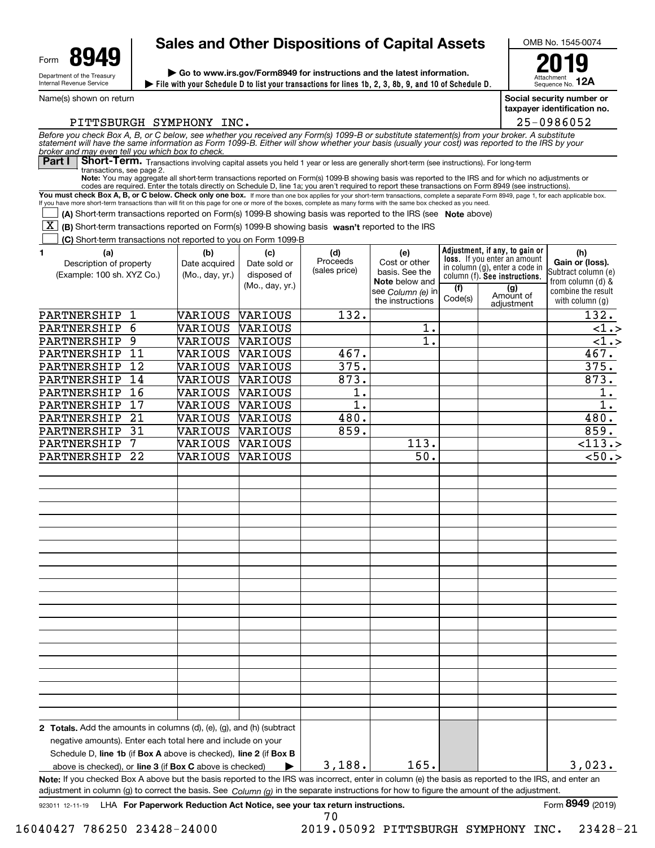

Name(s) shown on return

## **Sales and Other Dispositions of Capital Assets**

**File with your Schedule D to list your transactions for lines 1b, 2, 3, 8b, 9, and 10 of Schedule D. | | Go to www.irs.gov/Form8949 for instructions and the latest information.**



Attachment Sequence No. **12A**

**Social security number or taxpayer identification no.**

PITTSBURGH SYMPHONY INC.

You must check Box A, B, or C below. Check only one box. If more than one box applies for your short-term transactions, complete a separate Form 8949, page 1, for each applicable box. If you have more short-term transactions than will fit on this page for one or more of the boxes, complete as many forms with the same box checked as you need. **Note:**You may aggregate all short-term transactions reported on Form(s) 1099-B showing basis was reported to the IRS and for which no adjustments or codes are required. Enter the totals directly on Schedule D, line 1a; you aren't required to report these transactions on Form 8949 (see instructions). Part I Short-Term. Transactions involving capital assets you held 1 year or less are generally short-term (see instructions). For long-term transactions, see page 2. **Adjustment, if any, to gain or loss.**  If you enter an amount column (f)**. See instructions. (A)** Short-term transactions reported on Form(s) 1099-B showing basis was reported to the IRS (see Note above) **[X]** (B) Short-term transactions reported on Form(s) 1099-B showing basis wasn't reported to the IRS **(C)** Short-term transactions not reported to you on Form 1099-B **1 (a) (b) (c) (d) (e) Note** below and see *Column (e)* in **(h) Gain or (loss). (f) (g) 2 Totals.**  Add the amounts in columns (d), (e), (g), and (h) (subtract Schedule D, line 1b (if Box A above is checked), line 2 (if Box B above is checked), or **line 3** (if **Box C** above is checked)  $\bullet$ **Note:** If you checked Box A above but the basis reported to the IRS was incorrect, enter in column (e) the basis as reported to the IRS, and enter an Before you check Box A, B, or C below, see whether you received any Form(s) 1099-B or substitute statement(s) from your broker. A substitute<br>statement will have the same information as Form 1099-B. Either will show whether *broker and may even tell you which box to check.* adjustment in column (g) to correct the basis. See *Column (g)* in the separate instructions for how to figure the amount of the adjustment. in column (g), enter a code in Subtract column (e) from column (d) & combine the result with column (g) Description of property (Example: 100 sh. XYZ Co.) Date acquired (Mo., day, yr.) Date sold or disposed of (Mo., day, yr.) Proceeds (sales price) Cost or other basis. See the the instructions  $\vert$  Code(s) adjustmentnegative amounts). Enter each total here and include on your  $\mathcal{L}^{\text{max}}$ 25-0986052 PARTNERSHIP 1 VARIOUS VARIOUS | 132. | | | 132. 165. PARTNERSHIP 6 VARIOUS VARIOUS  $\vert$  1. 1.  $\vert$  1.  $\vert$  1. PARTNERSHIP 9 VARIOUS VARIOUS | 1. | | <1.> PARTNERSHIP 11 VARIOUS VARIOUS | 467. | | | 467. PARTNERSHIP 12 VARIOUS VARIOUS 375. 375. PARTNERSHIP 14 VARIOUS VARIOUS | 873. | | | 873. PARTNERSHIP 16 VARIOUS VARIOUS | 1. | | | | 1. PARTNERSHIP 17 | VARIOUS | VARIOUS | 1. | | | | | | 1. PARTNERSHIP 21 VARIOUS VARIOUS | 480. | | | 480. PARTNERSHIP 31 VARIOUS VARIOUS 859. 859. PARTNERSHIP 7 VARIOUS VARIOUS  $\vert$  113.  $\vert$  113.  $\vert$  113.  $\vert$ PARTNERSHIP 22 VARIOUS VARIOUS 50. <50.> 3,188. 3,023.

70

923011 12-11-19 LHA For Paperwork Reduction Act Notice, see your tax return instructions. Form **8949** (2019)

16040427 786250 23428-24000 2019.05092 PITTSBURGH SYMPHONY INC. 23428-21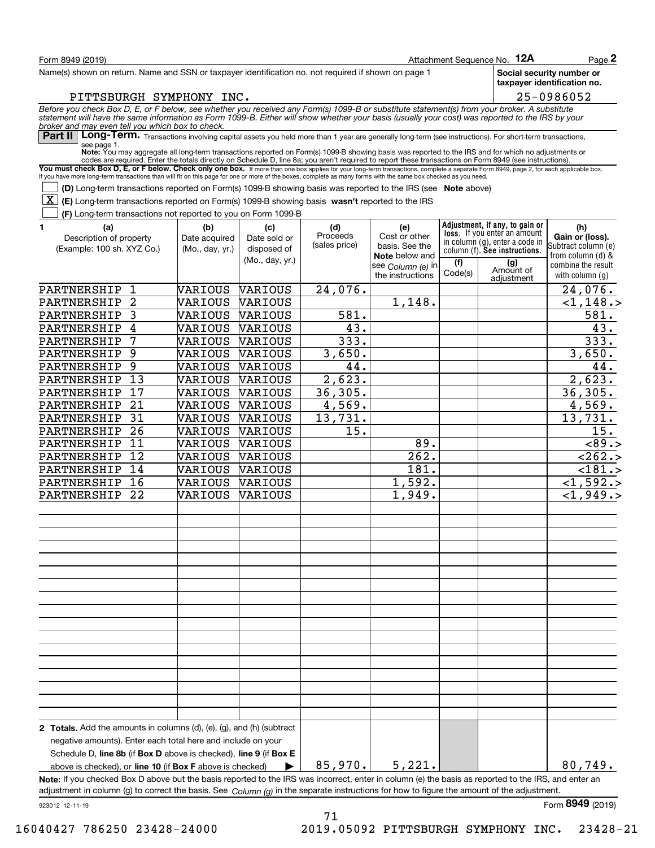| Form 8949 (2019)                                                                                                                                                                                                                                                                                                                                         |                                  |                             |                 |                                       |                | Attachment Sequence No. 12A                                           | $_{\text{Page}}$ 2                                       |
|----------------------------------------------------------------------------------------------------------------------------------------------------------------------------------------------------------------------------------------------------------------------------------------------------------------------------------------------------------|----------------------------------|-----------------------------|-----------------|---------------------------------------|----------------|-----------------------------------------------------------------------|----------------------------------------------------------|
| Name(s) shown on return. Name and SSN or taxpayer identification no. not required if shown on page 1                                                                                                                                                                                                                                                     |                                  |                             |                 |                                       |                |                                                                       | Social security number or<br>taxpayer identification no. |
| PITTSBURGH SYMPHONY INC.                                                                                                                                                                                                                                                                                                                                 |                                  |                             |                 |                                       |                |                                                                       | 25-0986052                                               |
| Before you check Box D, E, or F below, see whether you received any Form(s) 1099-B or substitute statement(s) from your broker. A substitute<br>statement will have the same information as Form 1099-B. Either will show whether                                                                                                                        |                                  |                             |                 |                                       |                |                                                                       |                                                          |
| broker and may even tell you which box to check.<br>∣ Part II l<br>Long-Term. Transactions involving capital assets you held more than 1 year are generally long-term (see instructions). For short-term transactions,                                                                                                                                   |                                  |                             |                 |                                       |                |                                                                       |                                                          |
| see page 1.<br>Note: You may aggregate all long-term transactions reported on Form(s) 1099-B showing basis was reported to the IRS and for which no adjustments or                                                                                                                                                                                       |                                  |                             |                 |                                       |                |                                                                       |                                                          |
| codes are required. Enter the totals directly on Schedule D, line 8a; you aren't required to report these transactions on Form 8949 (see instructions).                                                                                                                                                                                                  |                                  |                             |                 |                                       |                |                                                                       |                                                          |
| You must check Box D, E, or F below. Check only one box. If more than one box applies for your long-term transactions, complete a separate Form 8949, page 2, for each applicable box.<br>If you have more long-term transactions than will fit on this page for one or more of the boxes, complete as many forms with the same box checked as you need. |                                  |                             |                 |                                       |                |                                                                       |                                                          |
| (D) Long-term transactions reported on Form(s) 1099-B showing basis was reported to the IRS (see Note above)                                                                                                                                                                                                                                             |                                  |                             |                 |                                       |                |                                                                       |                                                          |
| X <br>(E) Long-term transactions reported on Form(s) 1099-B showing basis wasn't reported to the IRS                                                                                                                                                                                                                                                     |                                  |                             |                 |                                       |                |                                                                       |                                                          |
| (F) Long-term transactions not reported to you on Form 1099-B                                                                                                                                                                                                                                                                                            |                                  |                             |                 |                                       |                |                                                                       |                                                          |
| 1.<br>(a)                                                                                                                                                                                                                                                                                                                                                | (b)                              | (c)                         | (d)<br>Proceeds | (e)                                   |                | Adjustment, if any, to gain or<br><b>loss.</b> If you enter an amount | (h)                                                      |
| Description of property<br>(Example: 100 sh. XYZ Co.)                                                                                                                                                                                                                                                                                                    | Date acquired<br>(Mo., day, yr.) | Date sold or<br>disposed of | (sales price)   | Cost or other<br>basis. See the       |                | in column (g), enter a code in                                        | Gain or (loss).<br>Subtract column (e)                   |
|                                                                                                                                                                                                                                                                                                                                                          |                                  | (Mo., day, yr.)             |                 | Note below and                        |                | column (f). See instructions.                                         | from column (d) &                                        |
|                                                                                                                                                                                                                                                                                                                                                          |                                  |                             |                 | see Column (e) in<br>the instructions | (f)<br>Code(s) | (g)<br>Amount of                                                      | combine the result<br>with column $(g)$                  |
| PARTNERSHIP<br>1                                                                                                                                                                                                                                                                                                                                         | VARIOUS                          | VARIOUS                     | 24,076.         |                                       |                | adjustment                                                            | 24,076.                                                  |
| $\overline{2}$<br>PARTNERSHIP                                                                                                                                                                                                                                                                                                                            | VARIOUS                          | VARIOUS                     |                 | 1,148.                                |                |                                                                       | <1,148.                                                  |
| PARTNERSHIP<br>3                                                                                                                                                                                                                                                                                                                                         | VARIOUS                          | VARIOUS                     | 581.            |                                       |                |                                                                       | 581.                                                     |
| PARTNERSHIP<br>4                                                                                                                                                                                                                                                                                                                                         | VARIOUS                          | VARIOUS                     | 43.             |                                       |                |                                                                       | 43.                                                      |
| 7<br>PARTNERSHIP                                                                                                                                                                                                                                                                                                                                         | VARIOUS                          | VARIOUS                     | 333.            |                                       |                |                                                                       | 333.                                                     |
| 9<br>PARTNERSHIP                                                                                                                                                                                                                                                                                                                                         | VARIOUS                          | VARIOUS                     | 3,650.          |                                       |                |                                                                       | 3,650.                                                   |
| 9<br>PARTNERSHIP                                                                                                                                                                                                                                                                                                                                         | VARIOUS                          | VARIOUS                     | 44.             |                                       |                |                                                                       | 44.                                                      |
| PARTNERSHIP<br>13                                                                                                                                                                                                                                                                                                                                        | VARIOUS                          | VARIOUS                     | 2,623.          |                                       |                |                                                                       | 2,623.                                                   |
| 17<br>PARTNERSHIP                                                                                                                                                                                                                                                                                                                                        | VARIOUS                          | VARIOUS                     | 36, 305.        |                                       |                |                                                                       | 36, 305.                                                 |
| 21<br>PARTNERSHIP                                                                                                                                                                                                                                                                                                                                        | VARIOUS                          | VARIOUS                     | 4,569.          |                                       |                |                                                                       | 4,569.                                                   |
| 31<br>PARTNERSHIP                                                                                                                                                                                                                                                                                                                                        | VARIOUS                          | VARIOUS                     | 13,731.         |                                       |                |                                                                       | 13,731.                                                  |
| 26<br>PARTNERSHIP                                                                                                                                                                                                                                                                                                                                        | VARIOUS                          | VARIOUS                     | 15.             |                                       |                |                                                                       | 15.                                                      |
| 11<br>PARTNERSHIP                                                                                                                                                                                                                                                                                                                                        | VARIOUS                          | VARIOUS                     |                 | 89.                                   |                |                                                                       | < 89.>                                                   |
| 12<br>PARTNERSHIP                                                                                                                                                                                                                                                                                                                                        | VARIOUS                          | VARIOUS                     |                 | 262.                                  |                |                                                                       | < 262.5<br>$\overline{<}181.$                            |
| PARTNERSHIP<br>14<br>PARTNERSHIP<br>16                                                                                                                                                                                                                                                                                                                   | VARIOUS<br>VARIOUS               | VARIOUS                     |                 | 181.                                  |                |                                                                       |                                                          |
| 22<br>PARTNERSHIP                                                                                                                                                                                                                                                                                                                                        | VARIOUS                          | VARIOUS<br>VARIOUS          |                 | 1,592.<br>1,949.                      |                |                                                                       | $<$ 1,592.><br>$<$ 1,949.>                               |
|                                                                                                                                                                                                                                                                                                                                                          |                                  |                             |                 |                                       |                |                                                                       |                                                          |
|                                                                                                                                                                                                                                                                                                                                                          |                                  |                             |                 |                                       |                |                                                                       |                                                          |
|                                                                                                                                                                                                                                                                                                                                                          |                                  |                             |                 |                                       |                |                                                                       |                                                          |
|                                                                                                                                                                                                                                                                                                                                                          |                                  |                             |                 |                                       |                |                                                                       |                                                          |
|                                                                                                                                                                                                                                                                                                                                                          |                                  |                             |                 |                                       |                |                                                                       |                                                          |
|                                                                                                                                                                                                                                                                                                                                                          |                                  |                             |                 |                                       |                |                                                                       |                                                          |
|                                                                                                                                                                                                                                                                                                                                                          |                                  |                             |                 |                                       |                |                                                                       |                                                          |
|                                                                                                                                                                                                                                                                                                                                                          |                                  |                             |                 |                                       |                |                                                                       |                                                          |
|                                                                                                                                                                                                                                                                                                                                                          |                                  |                             |                 |                                       |                |                                                                       |                                                          |
|                                                                                                                                                                                                                                                                                                                                                          |                                  |                             |                 |                                       |                |                                                                       |                                                          |
| 2 Totals. Add the amounts in columns (d), (e), (g), and (h) (subtract                                                                                                                                                                                                                                                                                    |                                  |                             |                 |                                       |                |                                                                       |                                                          |
| negative amounts). Enter each total here and include on your                                                                                                                                                                                                                                                                                             |                                  |                             |                 |                                       |                |                                                                       |                                                          |
| Schedule D, line 8b (if Box D above is checked), line 9 (if Box E                                                                                                                                                                                                                                                                                        |                                  |                             |                 |                                       |                |                                                                       |                                                          |
| above is checked), or <b>line 10</b> (if <b>Box F</b> above is checked)                                                                                                                                                                                                                                                                                  |                                  |                             | 85,970.         | 5,221.                                |                |                                                                       | 80,749.                                                  |
| Note: If you checked Box D above but the basis reported to the IRS was incorrect, enter in column (e) the basis as reported to the IRS, and enter an                                                                                                                                                                                                     |                                  |                             |                 |                                       |                |                                                                       |                                                          |
| adjustment in column (g) to correct the basis. See Column (g) in the separate instructions for how to figure the amount of the adjustment.<br>923012 12-11-19                                                                                                                                                                                            |                                  |                             |                 |                                       |                |                                                                       | Form 8949 (2019)                                         |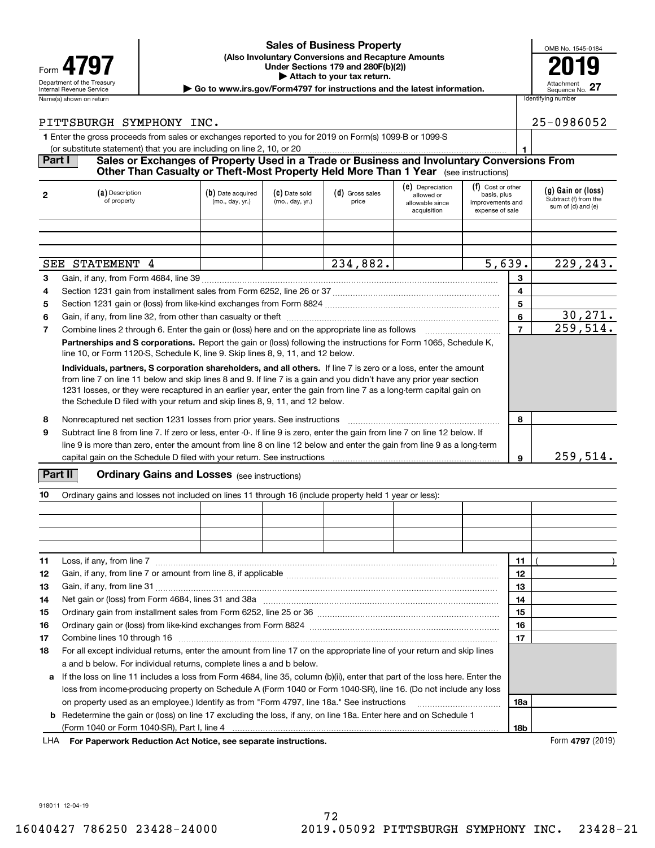#### **(Also Involuntary Conversions and Recapture Amounts 4797 Example 19 The CALL CONSERVANT Under Sections 179 and 280F(b)(2))**<br> **Example 19 and 280F(b)(2) | Attach to your tax return. Sales of Business Property**

| OMB No. 1545-0184             |
|-------------------------------|
|                               |
|                               |
| Attachment<br>Sequence No. 27 |

Department of the Treasury **Number of the Treasury Attachment**<br>Internal Revenue Service Sequence No.<br> **| Go to www.irs.gov/Form4797 for instructions and the latest information.** | Sequence No.

| Identifying number |
|--------------------|
| 25-0986052         |

#### PITTSBURGH SYMPHONY INC.

**1**Enter the gross proceeds from sales or exchanges reported to you for 2019 on Form(s) 1099-B or 1099-S (or substitute statement) that you are including on line 2, 10, or 20

#### **1 Part I Sales or Exchanges of Property Used in a Trade or Business and Involuntary Conversions From Other Than Casualty or Theft-Most Property Held More Than 1 Year** (see instructions)

| $\mathbf{2}$ | (a) Description<br>of property                                                                                                                                                                                                                                                                                                                                                                                                                | (b) Date acquired<br>(mo., day, yr.) | (C) Date sold<br>(mo., day, yr.) | (d) Gross sales<br>price | (e) Depreciation<br>allowed or<br>allowable since<br>acquisition | (f) Cost or other<br>basis, plus<br>improvements and<br>expense of sale |          | (g) Gain or (loss)<br>Subtract (f) from the<br>sum of (d) and (e) |
|--------------|-----------------------------------------------------------------------------------------------------------------------------------------------------------------------------------------------------------------------------------------------------------------------------------------------------------------------------------------------------------------------------------------------------------------------------------------------|--------------------------------------|----------------------------------|--------------------------|------------------------------------------------------------------|-------------------------------------------------------------------------|----------|-------------------------------------------------------------------|
|              |                                                                                                                                                                                                                                                                                                                                                                                                                                               |                                      |                                  |                          |                                                                  |                                                                         |          |                                                                   |
|              |                                                                                                                                                                                                                                                                                                                                                                                                                                               |                                      |                                  |                          |                                                                  |                                                                         |          |                                                                   |
|              | SEE STATEMENT 4                                                                                                                                                                                                                                                                                                                                                                                                                               |                                      | 234,882.                         |                          | 5,639.                                                           |                                                                         | 229,243. |                                                                   |
| 3            |                                                                                                                                                                                                                                                                                                                                                                                                                                               |                                      |                                  |                          |                                                                  |                                                                         | 3        |                                                                   |
| 4            |                                                                                                                                                                                                                                                                                                                                                                                                                                               |                                      |                                  |                          |                                                                  |                                                                         | 4        |                                                                   |
| 5            |                                                                                                                                                                                                                                                                                                                                                                                                                                               | 5                                    |                                  |                          |                                                                  |                                                                         |          |                                                                   |
| 6            |                                                                                                                                                                                                                                                                                                                                                                                                                                               | 6                                    | 30, 271.                         |                          |                                                                  |                                                                         |          |                                                                   |
| 7            | Combine lines 2 through 6. Enter the gain or (loss) here and on the appropriate line as follows <i>manumumum</i>                                                                                                                                                                                                                                                                                                                              |                                      |                                  |                          |                                                                  |                                                                         |          | 259,514.                                                          |
|              | Partnerships and S corporations. Report the gain or (loss) following the instructions for Form 1065, Schedule K,<br>line 10, or Form 1120-S, Schedule K, line 9. Skip lines 8, 9, 11, and 12 below.                                                                                                                                                                                                                                           |                                      |                                  |                          |                                                                  |                                                                         |          |                                                                   |
|              | Individuals, partners, S corporation shareholders, and all others. If line 7 is zero or a loss, enter the amount<br>from line 7 on line 11 below and skip lines 8 and 9. If line 7 is a gain and you didn't have any prior year section<br>1231 losses, or they were recaptured in an earlier year, enter the gain from line 7 as a long-term capital gain on<br>the Schedule D filed with your return and skip lines 8, 9, 11, and 12 below. |                                      |                                  |                          |                                                                  |                                                                         |          |                                                                   |
| 8            | Nonrecaptured net section 1231 losses from prior years. See instructions                                                                                                                                                                                                                                                                                                                                                                      |                                      |                                  |                          |                                                                  |                                                                         | 8        |                                                                   |
| 9            | Subtract line 8 from line 7. If zero or less, enter -0-. If line 9 is zero, enter the gain from line 7 on line 12 below. If                                                                                                                                                                                                                                                                                                                   |                                      |                                  |                          |                                                                  |                                                                         |          |                                                                   |
|              | line 9 is more than zero, enter the amount from line 8 on line 12 below and enter the gain from line 9 as a long-term                                                                                                                                                                                                                                                                                                                         |                                      |                                  |                          |                                                                  |                                                                         |          |                                                                   |
|              |                                                                                                                                                                                                                                                                                                                                                                                                                                               |                                      |                                  |                          |                                                                  |                                                                         | 9        | 259,514.                                                          |

#### **Part II** | Crdinary Gains and Losses (see instructions)

| 10 | Ordinary gains and losses not included on lines 11 through 16 (include property held 1 year or less):                       |     |  |  |  |  |  |  |
|----|-----------------------------------------------------------------------------------------------------------------------------|-----|--|--|--|--|--|--|
|    |                                                                                                                             |     |  |  |  |  |  |  |
|    |                                                                                                                             |     |  |  |  |  |  |  |
|    |                                                                                                                             |     |  |  |  |  |  |  |
|    |                                                                                                                             |     |  |  |  |  |  |  |
| 11 | Loss, if any, from line 7                                                                                                   | 11  |  |  |  |  |  |  |
| 12 |                                                                                                                             | 12  |  |  |  |  |  |  |
| 13 |                                                                                                                             | 13  |  |  |  |  |  |  |
| 14 |                                                                                                                             | 14  |  |  |  |  |  |  |
| 15 |                                                                                                                             | 15  |  |  |  |  |  |  |
| 16 |                                                                                                                             | 16  |  |  |  |  |  |  |
| 17 | Combine lines 10 through 16                                                                                                 | 17  |  |  |  |  |  |  |
| 18 | For all except individual returns, enter the amount from line 17 on the appropriate line of your return and skip lines      |     |  |  |  |  |  |  |
|    | a and b below. For individual returns, complete lines a and b below.                                                        |     |  |  |  |  |  |  |
| a  | If the loss on line 11 includes a loss from Form 4684, line 35, column (b)(ii), enter that part of the loss here. Enter the |     |  |  |  |  |  |  |
|    | loss from income-producing property on Schedule A (Form 1040 or Form 1040-SR), line 16. (Do not include any loss            |     |  |  |  |  |  |  |
|    |                                                                                                                             | 18a |  |  |  |  |  |  |
| b  | Redetermine the gain or (loss) on line 17 excluding the loss, if any, on line 18a. Enter here and on Schedule 1             |     |  |  |  |  |  |  |
|    |                                                                                                                             | 18b |  |  |  |  |  |  |

**For Paperwork Reduction Act Notice, see separate instructions.** Form **4797** (2019) LHA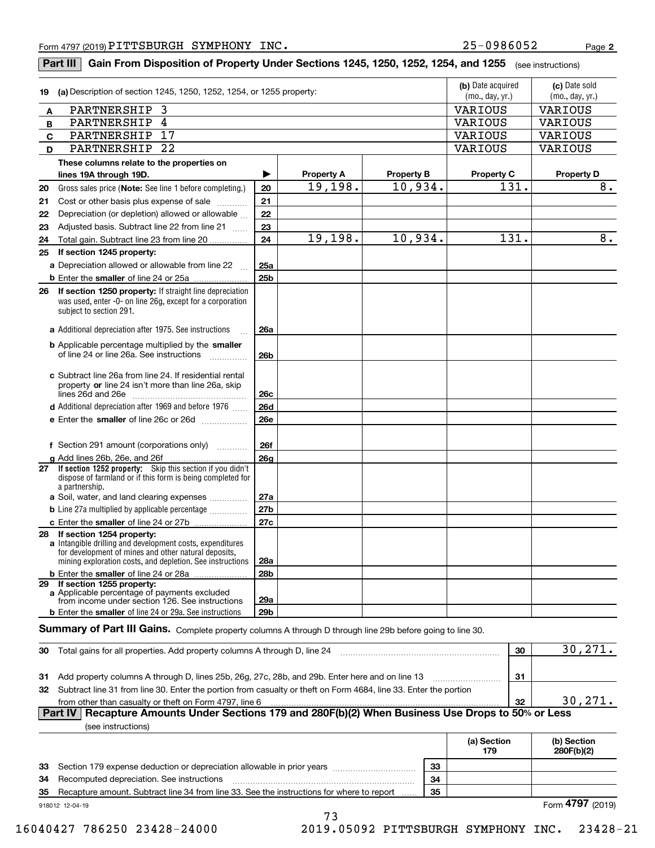**2**

#### **If section 1252 property:** Skip this section if you didn't **(b)** Date acquired **dec (c)** Date sold **19 (a)** Description of section 1245, 1250, 1252, 1254, or 1255 property: **ABCDThese columns relate to the properties on lines 19A through 19D. Property A Property B Property C Property D 20212223**Gross sales price (**Note:** See line 1 before completing.)  $\,$  | **20 2122232425a25b26a 26b26c26d26e26f26g27a27b27c28a28b29a29b2425 If section 1245 property: a** Depreciation allowed or allowable from line 22 **b** Enter the smaller of line 24 or 25a **2626 If section 1250 property:** If straight line depreciation **a**Additional depreciation after 1975. See instructions <sup>~</sup> **b** Applicable percentage multiplied by the smaller **c**Subtract line 26a from line 24. If residential rental property or line 24 isn't more than line 26a, skip ~~~~~~~~~~~~~~~ lines 26d and 26e **d** Additional depreciation after 1969 and before 1976  $^{76}$ **e** Enter the **smaller** of line 26c or 26d .................. **f** Section 291 amount (corporations only) **g**Add lines 26b, 26e, and 26f **27a** Soil, water, and land clearing expenses .............. **b** Line 27a multiplied by applicable percentage  $_{\ldots\ldots\ldots\ldots\ldots}$ **c** Enter the smaller of line 24 or 27b **28 If section 1254 property: a** Intangible drilling and development costs, expenditures **b** Enter the smaller of line 24 or 28a **29 If section 1255 property: a**Applicable percentage of payments excluded **b** Enter the **smaller** of line 24 or 29a. See instructions **303132303132 Part IV Recapture Amounts Under Sections 179 and 280F(b)(2) When Business Use Drops to 50% or Less (a) Section 179(b) Section 280F(b)(2)**(mo., day, yr.) (mo., day, yr.) Adjusted basis. Subtract line 22 from line 21  $\,\,...\,$ was used, enter -0- on line 26g, except for a corporation subject to section 291. dispose of farmland or if this form is being completed for a partnership. for development of mines and other natural deposits, mining exploration costs, and depletion. See instructions **Part III**  $\mid$  **Gain From Disposition of Property Under Sections 1245, 1250, 1252, 1254, and 1255**  $\mid$  $_{\rm (see\, instructions)}$ Cost or other basis plus expense of sale Depreciation (or depletion) allowed or allowable Total gain. Subtract line 23 from line 20 of line 24 or line 26a. See instructions from income under section 126. See instructions  $S$ ummary of Part III Gains. Complete property columns A through D through line 29b before going to line 30. Total gains for all properties. Add property columns A through D, line 24 Add property columns A through D, lines 25b, 26g, 27c, 28b, and 29b. Enter here and on line 13 Subtract line 31 from line 30. Enter the portion from casualty or theft on Form 4684, line 33. Enter the portion from other than casualty or theft on Form 4797, line 6 (see instructions) 930,271. 30,271. PARTNERSHIP 3 VARIOUS VARIOUS PARTNERSHIP 4 VARIOUS VARIOUS PARTNERSHIP 17 VARIOUS VARIOUS PARTNERSHIP 22 VARIOUS VARIOUS 19,198. 19,198. 10,934. 10,934. 131. 131. 8. 8.

**333435333435**Section 179 expense deduction or depreciation allowable in prior years Recomputed depreciation. See instructions Recapture amount. Subtract line 34 from line 33. See the instructions for where to report

918012 12-04-19

Form (2019) **4797** 

73